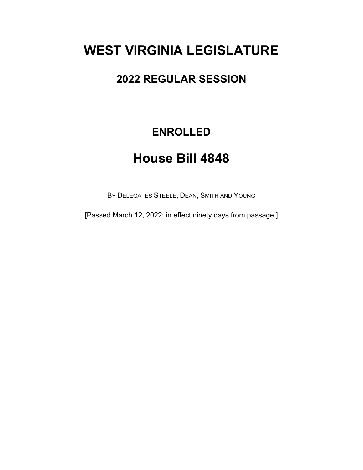# **WEST VIRGINIA LEGISLATURE**

## **2022 REGULAR SESSION**

## **ENROLLED**

# **House Bill 4848**

BY DELEGATES STEELE, DEAN, SMITH AND YOUNG

[Passed March 12, 2022; in effect ninety days from passage.]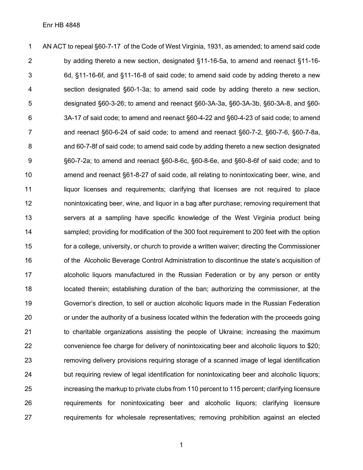AN ACT to repeal §60-7-17 of the Code of West Virginia, 1931, as amended; to amend said code by adding thereto a new section, designated §11-16-5a, to amend and reenact §11-16- 6d, §11-16-6f, and §11-16-8 of said code; to amend said code by adding thereto a new section designated §60-1-3a; to amend said code by adding thereto a new section, designated §60-3-26; to amend and reenact §60-3A-3a, §60-3A-3b, §60-3A-8, and §60- 3A-17 of said code; to amend and reenact §60-4-22 and §60-4-23 of said code; to amend and reenact §60-6-24 of said code; to amend and reenact §60-7-2, §60-7-6, §60-7-8a, and 60-7-8f of said code; to amend said code by adding thereto a new section designated §60-7-2a; to amend and reenact §60-8-6c, §60-8-6e, and §60-8-6f of said code; and to amend and reenact §61-8-27 of said code, all relating to nonintoxicating beer, wine, and liquor licenses and requirements; clarifying that licenses are not required to place nonintoxicating beer, wine, and liquor in a bag after purchase; removing requirement that servers at a sampling have specific knowledge of the West Virginia product being sampled; providing for modification of the 300 foot requirement to 200 feet with the option for a college, university, or church to provide a written waiver; directing the Commissioner of the Alcoholic Beverage Control Administration to discontinue the state's acquisition of alcoholic liquors manufactured in the Russian Federation or by any person or entity located therein; establishing duration of the ban; authorizing the commissioner, at the Governor's direction, to sell or auction alcoholic liquors made in the Russian Federation or under the authority of a business located within the federation with the proceeds going to charitable organizations assisting the people of Ukraine; increasing the maximum convenience fee charge for delivery of nonintoxicating beer and alcoholic liquors to \$20; removing delivery provisions requiring storage of a scanned image of legal identification but requiring review of legal identification for nonintoxicating beer and alcoholic liquors; increasing the markup to private clubs from 110 percent to 115 percent; clarifying licensure requirements for nonintoxicating beer and alcoholic liquors; clarifying licensure requirements for wholesale representatives; removing prohibition against an elected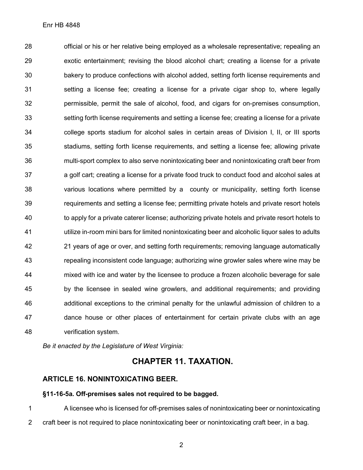official or his or her relative being employed as a wholesale representative; repealing an exotic entertainment; revising the blood alcohol chart; creating a license for a private bakery to produce confections with alcohol added, setting forth license requirements and setting a license fee; creating a license for a private cigar shop to, where legally permissible, permit the sale of alcohol, food, and cigars for on-premises consumption, setting forth license requirements and setting a license fee; creating a license for a private college sports stadium for alcohol sales in certain areas of Division I, II, or III sports stadiums, setting forth license requirements, and setting a license fee; allowing private multi-sport complex to also serve nonintoxicating beer and nonintoxicating craft beer from a golf cart; creating a license for a private food truck to conduct food and alcohol sales at various locations where permitted by a county or municipality, setting forth license requirements and setting a license fee; permitting private hotels and private resort hotels to apply for a private caterer license; authorizing private hotels and private resort hotels to utilize in-room mini bars for limited nonintoxicating beer and alcoholic liquor sales to adults 21 years of age or over, and setting forth requirements; removing language automatically repealing inconsistent code language; authorizing wine growler sales where wine may be mixed with ice and water by the licensee to produce a frozen alcoholic beverage for sale by the licensee in sealed wine growlers, and additional requirements; and providing additional exceptions to the criminal penalty for the unlawful admission of children to a dance house or other places of entertainment for certain private clubs with an age verification system.

*Be it enacted by the Legislature of West Virginia:*

## **CHAPTER 11. TAXATION.**

### **ARTICLE 16. NONINTOXICATING BEER.**

### **§11-16-5a. Off-premises sales not required to be bagged.**

 A licensee who is licensed for off-premises sales of nonintoxicating beer or nonintoxicating craft beer is not required to place nonintoxicating beer or nonintoxicating craft beer, in a bag.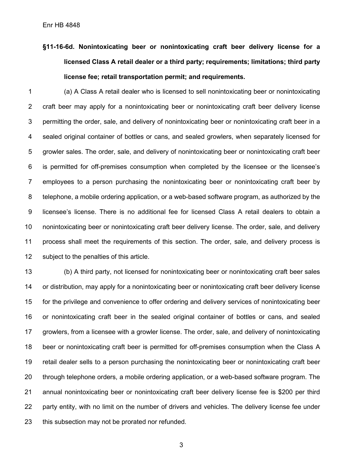**§11-16-6d. Nonintoxicating beer or nonintoxicating craft beer delivery license for a licensed Class A retail dealer or a third party; requirements; limitations; third party license fee; retail transportation permit; and requirements.**

 (a) A Class A retail dealer who is licensed to sell nonintoxicating beer or nonintoxicating craft beer may apply for a nonintoxicating beer or nonintoxicating craft beer delivery license permitting the order, sale, and delivery of nonintoxicating beer or nonintoxicating craft beer in a sealed original container of bottles or cans, and sealed growlers, when separately licensed for growler sales. The order, sale, and delivery of nonintoxicating beer or nonintoxicating craft beer is permitted for off-premises consumption when completed by the licensee or the licensee's employees to a person purchasing the nonintoxicating beer or nonintoxicating craft beer by telephone, a mobile ordering application, or a web-based software program, as authorized by the licensee's license. There is no additional fee for licensed Class A retail dealers to obtain a nonintoxicating beer or nonintoxicating craft beer delivery license. The order, sale, and delivery process shall meet the requirements of this section. The order, sale, and delivery process is subject to the penalties of this article.

 (b) A third party, not licensed for nonintoxicating beer or nonintoxicating craft beer sales or distribution, may apply for a nonintoxicating beer or nonintoxicating craft beer delivery license for the privilege and convenience to offer ordering and delivery services of nonintoxicating beer or nonintoxicating craft beer in the sealed original container of bottles or cans, and sealed growlers, from a licensee with a growler license. The order, sale, and delivery of nonintoxicating beer or nonintoxicating craft beer is permitted for off-premises consumption when the Class A retail dealer sells to a person purchasing the nonintoxicating beer or nonintoxicating craft beer through telephone orders, a mobile ordering application, or a web-based software program. The annual nonintoxicating beer or nonintoxicating craft beer delivery license fee is \$200 per third party entity, with no limit on the number of drivers and vehicles. The delivery license fee under this subsection may not be prorated nor refunded.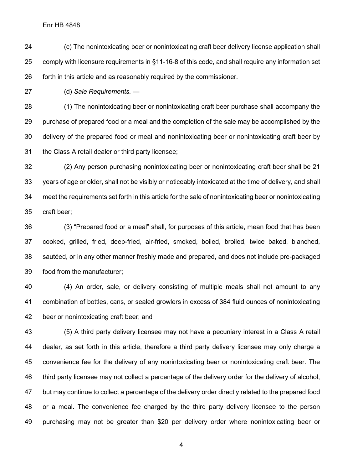(c) The nonintoxicating beer or nonintoxicating craft beer delivery license application shall comply with licensure requirements in §11-16-8 of this code, and shall require any information set forth in this article and as reasonably required by the commissioner.

(d) *Sale Requirements.* —

 (1) The nonintoxicating beer or nonintoxicating craft beer purchase shall accompany the purchase of prepared food or a meal and the completion of the sale may be accomplished by the delivery of the prepared food or meal and nonintoxicating beer or nonintoxicating craft beer by the Class A retail dealer or third party licensee;

 (2) Any person purchasing nonintoxicating beer or nonintoxicating craft beer shall be 21 years of age or older, shall not be visibly or noticeably intoxicated at the time of delivery, and shall meet the requirements set forth in this article for the sale of nonintoxicating beer or nonintoxicating craft beer;

 (3) "Prepared food or a meal" shall, for purposes of this article, mean food that has been cooked, grilled, fried, deep-fried, air-fried, smoked, boiled, broiled, twice baked, blanched, sautéed, or in any other manner freshly made and prepared, and does not include pre-packaged food from the manufacturer;

 (4) An order, sale, or delivery consisting of multiple meals shall not amount to any combination of bottles, cans, or sealed growlers in excess of 384 fluid ounces of nonintoxicating beer or nonintoxicating craft beer; and

 (5) A third party delivery licensee may not have a pecuniary interest in a Class A retail dealer, as set forth in this article, therefore a third party delivery licensee may only charge a convenience fee for the delivery of any nonintoxicating beer or nonintoxicating craft beer. The third party licensee may not collect a percentage of the delivery order for the delivery of alcohol, but may continue to collect a percentage of the delivery order directly related to the prepared food or a meal. The convenience fee charged by the third party delivery licensee to the person purchasing may not be greater than \$20 per delivery order where nonintoxicating beer or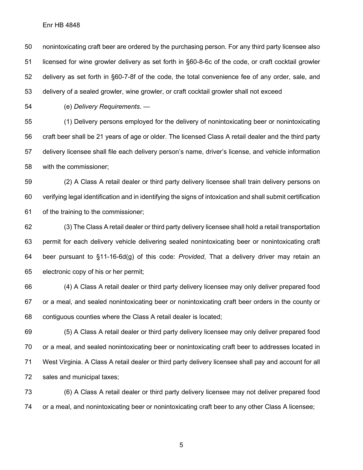nonintoxicating craft beer are ordered by the purchasing person. For any third party licensee also licensed for wine growler delivery as set forth in §60-8-6c of the code, or craft cocktail growler delivery as set forth in §60-7-8f of the code, the total convenience fee of any order, sale, and delivery of a sealed growler, wine growler, or craft cocktail growler shall not exceed

(e) *Delivery Requirements*. —

 (1) Delivery persons employed for the delivery of nonintoxicating beer or nonintoxicating craft beer shall be 21 years of age or older. The licensed Class A retail dealer and the third party delivery licensee shall file each delivery person's name, driver's license, and vehicle information with the commissioner;

 (2) A Class A retail dealer or third party delivery licensee shall train delivery persons on verifying legal identification and in identifying the signs of intoxication and shall submit certification of the training to the commissioner;

 (3) The Class A retail dealer or third party delivery licensee shall hold a retail transportation permit for each delivery vehicle delivering sealed nonintoxicating beer or nonintoxicating craft beer pursuant to §11-16-6d(g) of this code: *Provided*, That a delivery driver may retain an electronic copy of his or her permit;

 (4) A Class A retail dealer or third party delivery licensee may only deliver prepared food or a meal, and sealed nonintoxicating beer or nonintoxicating craft beer orders in the county or contiguous counties where the Class A retail dealer is located;

 (5) A Class A retail dealer or third party delivery licensee may only deliver prepared food or a meal, and sealed nonintoxicating beer or nonintoxicating craft beer to addresses located in West Virginia. A Class A retail dealer or third party delivery licensee shall pay and account for all sales and municipal taxes;

 (6) A Class A retail dealer or third party delivery licensee may not deliver prepared food or a meal, and nonintoxicating beer or nonintoxicating craft beer to any other Class A licensee;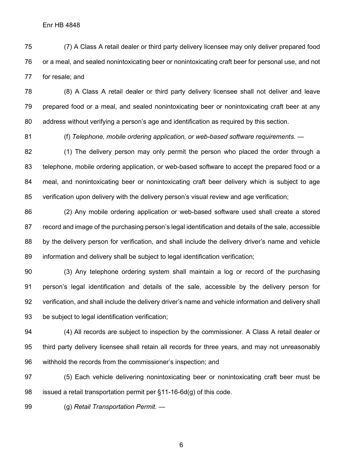(7) A Class A retail dealer or third party delivery licensee may only deliver prepared food or a meal, and sealed nonintoxicating beer or nonintoxicating craft beer for personal use, and not for resale; and

 (8) A Class A retail dealer or third party delivery licensee shall not deliver and leave prepared food or a meal, and sealed nonintoxicating beer or nonintoxicating craft beer at any address without verifying a person's age and identification as required by this section.

(f) *Telephone, mobile ordering application, or web-based software requirements*. —

 (1) The delivery person may only permit the person who placed the order through a telephone, mobile ordering application, or web-based software to accept the prepared food or a meal, and nonintoxicating beer or nonintoxicating craft beer delivery which is subject to age verification upon delivery with the delivery person's visual review and age verification;

 (2) Any mobile ordering application or web-based software used shall create a stored record and image of the purchasing person's legal identification and details of the sale, accessible 88 by the delivery person for verification, and shall include the delivery driver's name and vehicle information and delivery shall be subject to legal identification verification;

 (3) Any telephone ordering system shall maintain a log or record of the purchasing person's legal identification and details of the sale, accessible by the delivery person for verification, and shall include the delivery driver's name and vehicle information and delivery shall be subject to legal identification verification;

 (4) All records are subject to inspection by the commissioner. A Class A retail dealer or third party delivery licensee shall retain all records for three years, and may not unreasonably withhold the records from the commissioner's inspection; and

 (5) Each vehicle delivering nonintoxicating beer or nonintoxicating craft beer must be 98 issued a retail transportation permit per  $\S$ 11-16-6d(g) of this code.

(g) *Retail Transportation Permit.* —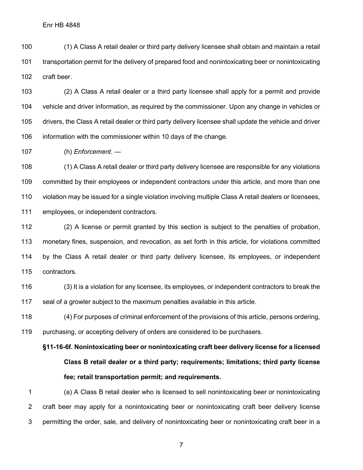(1) A Class A retail dealer or third party delivery licensee shall obtain and maintain a retail transportation permit for the delivery of prepared food and nonintoxicating beer or nonintoxicating craft beer.

 (2) A Class A retail dealer or a third party licensee shall apply for a permit and provide vehicle and driver information, as required by the commissioner. Upon any change in vehicles or drivers, the Class A retail dealer or third party delivery licensee shall update the vehicle and driver information with the commissioner within 10 days of the change.

(h) *Enforcement*. —

 (1) A Class A retail dealer or third party delivery licensee are responsible for any violations committed by their employees or independent contractors under this article, and more than one violation may be issued for a single violation involving multiple Class A retail dealers or licensees, employees, or independent contractors.

 (2) A license or permit granted by this section is subject to the penalties of probation, monetary fines, suspension, and revocation, as set forth in this article, for violations committed by the Class A retail dealer or third party delivery licensee, its employees, or independent contractors.

 (3) It is a violation for any licensee, its employees, or independent contractors to break the seal of a growler subject to the maximum penalties available in this article.

 (4) For purposes of criminal enforcement of the provisions of this article, persons ordering, purchasing, or accepting delivery of orders are considered to be purchasers.

**§11-16-6f. Nonintoxicating beer or nonintoxicating craft beer delivery license for a licensed Class B retail dealer or a third party; requirements; limitations; third party license fee; retail transportation permit; and requirements.**

 (a) A Class B retail dealer who is licensed to sell nonintoxicating beer or nonintoxicating craft beer may apply for a nonintoxicating beer or nonintoxicating craft beer delivery license permitting the order, sale, and delivery of nonintoxicating beer or nonintoxicating craft beer in a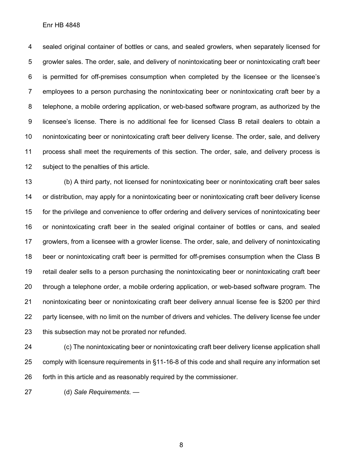sealed original container of bottles or cans, and sealed growlers, when separately licensed for growler sales. The order, sale, and delivery of nonintoxicating beer or nonintoxicating craft beer is permitted for off-premises consumption when completed by the licensee or the licensee's employees to a person purchasing the nonintoxicating beer or nonintoxicating craft beer by a telephone, a mobile ordering application, or web-based software program, as authorized by the licensee's license. There is no additional fee for licensed Class B retail dealers to obtain a nonintoxicating beer or nonintoxicating craft beer delivery license. The order, sale, and delivery process shall meet the requirements of this section. The order, sale, and delivery process is subject to the penalties of this article.

 (b) A third party, not licensed for nonintoxicating beer or nonintoxicating craft beer sales or distribution, may apply for a nonintoxicating beer or nonintoxicating craft beer delivery license for the privilege and convenience to offer ordering and delivery services of nonintoxicating beer or nonintoxicating craft beer in the sealed original container of bottles or cans, and sealed growlers, from a licensee with a growler license. The order, sale, and delivery of nonintoxicating beer or nonintoxicating craft beer is permitted for off-premises consumption when the Class B retail dealer sells to a person purchasing the nonintoxicating beer or nonintoxicating craft beer through a telephone order, a mobile ordering application, or web-based software program. The nonintoxicating beer or nonintoxicating craft beer delivery annual license fee is \$200 per third party licensee, with no limit on the number of drivers and vehicles. The delivery license fee under this subsection may not be prorated nor refunded.

 (c) The nonintoxicating beer or nonintoxicating craft beer delivery license application shall comply with licensure requirements in §11-16-8 of this code and shall require any information set forth in this article and as reasonably required by the commissioner.

(d) *Sale Requirements.* —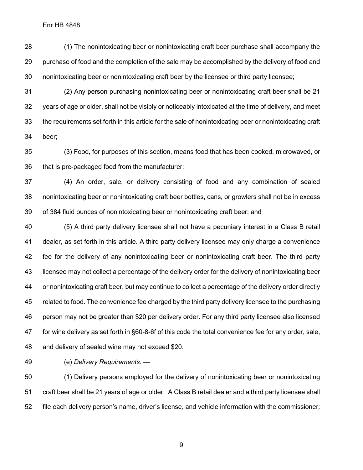(1) The nonintoxicating beer or nonintoxicating craft beer purchase shall accompany the purchase of food and the completion of the sale may be accomplished by the delivery of food and nonintoxicating beer or nonintoxicating craft beer by the licensee or third party licensee;

 (2) Any person purchasing nonintoxicating beer or nonintoxicating craft beer shall be 21 years of age or older, shall not be visibly or noticeably intoxicated at the time of delivery, and meet the requirements set forth in this article for the sale of nonintoxicating beer or nonintoxicating craft beer;

 (3) Food, for purposes of this section, means food that has been cooked, microwaved, or that is pre-packaged food from the manufacturer;

 (4) An order, sale, or delivery consisting of food and any combination of sealed nonintoxicating beer or nonintoxicating craft beer bottles, cans, or growlers shall not be in excess of 384 fluid ounces of nonintoxicating beer or nonintoxicating craft beer; and

 (5) A third party delivery licensee shall not have a pecuniary interest in a Class B retail dealer, as set forth in this article. A third party delivery licensee may only charge a convenience fee for the delivery of any nonintoxicating beer or nonintoxicating craft beer. The third party licensee may not collect a percentage of the delivery order for the delivery of nonintoxicating beer or nonintoxicating craft beer, but may continue to collect a percentage of the delivery order directly related to food. The convenience fee charged by the third party delivery licensee to the purchasing person may not be greater than \$20 per delivery order. For any third party licensee also licensed for wine delivery as set forth in §60-8-6f of this code the total convenience fee for any order, sale, and delivery of sealed wine may not exceed \$20.

(e) *Delivery Requirements.* —

 (1) Delivery persons employed for the delivery of nonintoxicating beer or nonintoxicating craft beer shall be 21 years of age or older. A Class B retail dealer and a third party licensee shall file each delivery person's name, driver's license, and vehicle information with the commissioner;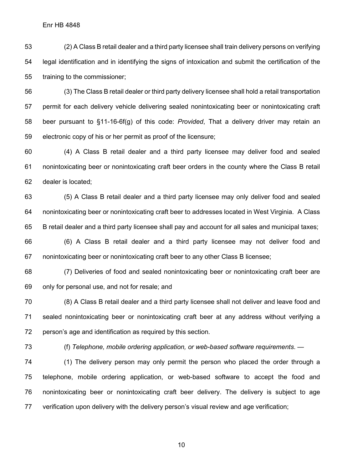(2) A Class B retail dealer and a third party licensee shall train delivery persons on verifying legal identification and in identifying the signs of intoxication and submit the certification of the training to the commissioner;

 (3) The Class B retail dealer or third party delivery licensee shall hold a retail transportation permit for each delivery vehicle delivering sealed nonintoxicating beer or nonintoxicating craft beer pursuant to §11-16-6f(g) of this code: *Provided*, That a delivery driver may retain an electronic copy of his or her permit as proof of the licensure;

 (4) A Class B retail dealer and a third party licensee may deliver food and sealed nonintoxicating beer or nonintoxicating craft beer orders in the county where the Class B retail dealer is located;

 (5) A Class B retail dealer and a third party licensee may only deliver food and sealed nonintoxicating beer or nonintoxicating craft beer to addresses located in West Virginia. A Class B retail dealer and a third party licensee shall pay and account for all sales and municipal taxes;

 (6) A Class B retail dealer and a third party licensee may not deliver food and nonintoxicating beer or nonintoxicating craft beer to any other Class B licensee;

 (7) Deliveries of food and sealed nonintoxicating beer or nonintoxicating craft beer are only for personal use, and not for resale; and

 (8) A Class B retail dealer and a third party licensee shall not deliver and leave food and sealed nonintoxicating beer or nonintoxicating craft beer at any address without verifying a person's age and identification as required by this section.

(f) *Telephone, mobile ordering application, or web-based software requirements*. —

 (1) The delivery person may only permit the person who placed the order through a telephone, mobile ordering application, or web-based software to accept the food and nonintoxicating beer or nonintoxicating craft beer delivery. The delivery is subject to age verification upon delivery with the delivery person's visual review and age verification;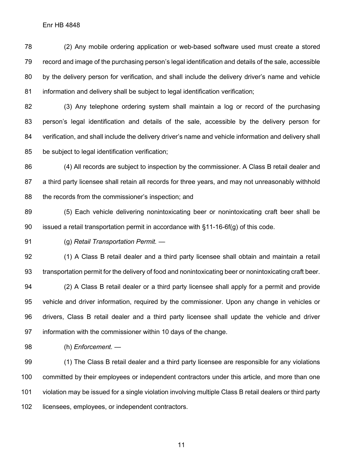(2) Any mobile ordering application or web-based software used must create a stored record and image of the purchasing person's legal identification and details of the sale, accessible by the delivery person for verification, and shall include the delivery driver's name and vehicle information and delivery shall be subject to legal identification verification;

 (3) Any telephone ordering system shall maintain a log or record of the purchasing person's legal identification and details of the sale, accessible by the delivery person for verification, and shall include the delivery driver's name and vehicle information and delivery shall be subject to legal identification verification;

 (4) All records are subject to inspection by the commissioner. A Class B retail dealer and a third party licensee shall retain all records for three years, and may not unreasonably withhold 88 the records from the commissioner's inspection; and

 (5) Each vehicle delivering nonintoxicating beer or nonintoxicating craft beer shall be issued a retail transportation permit in accordance with §11-16-6f(g) of this code.

(g) *Retail Transportation Permit.* —

 (1) A Class B retail dealer and a third party licensee shall obtain and maintain a retail transportation permit for the delivery of food and nonintoxicating beer or nonintoxicating craft beer.

 (2) A Class B retail dealer or a third party licensee shall apply for a permit and provide vehicle and driver information, required by the commissioner. Upon any change in vehicles or drivers, Class B retail dealer and a third party licensee shall update the vehicle and driver information with the commissioner within 10 days of the change.

(h) *Enforcement.* —

 (1) The Class B retail dealer and a third party licensee are responsible for any violations committed by their employees or independent contractors under this article, and more than one violation may be issued for a single violation involving multiple Class B retail dealers or third party licensees, employees, or independent contractors.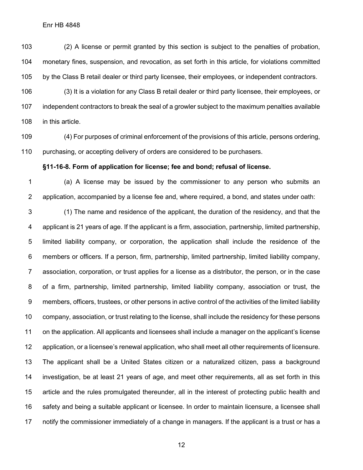(2) A license or permit granted by this section is subject to the penalties of probation, monetary fines, suspension, and revocation, as set forth in this article, for violations committed by the Class B retail dealer or third party licensee, their employees, or independent contractors.

 (3) It is a violation for any Class B retail dealer or third party licensee, their employees, or independent contractors to break the seal of a growler subject to the maximum penalties available in this article.

 (4) For purposes of criminal enforcement of the provisions of this article, persons ordering, purchasing, or accepting delivery of orders are considered to be purchasers.

#### **§11-16-8. Form of application for license; fee and bond; refusal of license.**

 (a) A license may be issued by the commissioner to any person who submits an application, accompanied by a license fee and, where required, a bond, and states under oath:

 (1) The name and residence of the applicant, the duration of the residency, and that the applicant is 21 years of age. If the applicant is a firm, association, partnership, limited partnership, limited liability company, or corporation, the application shall include the residence of the members or officers. If a person, firm, partnership, limited partnership, limited liability company, association, corporation, or trust applies for a license as a distributor, the person, or in the case of a firm, partnership, limited partnership, limited liability company, association or trust, the members, officers, trustees, or other persons in active control of the activities of the limited liability company, association, or trust relating to the license, shall include the residency for these persons on the application. All applicants and licensees shall include a manager on the applicant's license application, or a licensee's renewal application, who shall meet all other requirements of licensure. The applicant shall be a United States citizen or a naturalized citizen, pass a background investigation, be at least 21 years of age, and meet other requirements, all as set forth in this article and the rules promulgated thereunder, all in the interest of protecting public health and safety and being a suitable applicant or licensee. In order to maintain licensure, a licensee shall notify the commissioner immediately of a change in managers. If the applicant is a trust or has a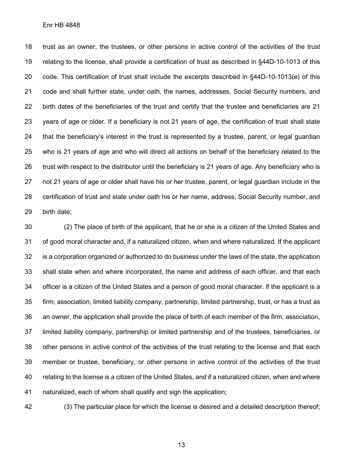trust as an owner, the trustees, or other persons in active control of the activities of the trust relating to the license, shall provide a certification of trust as described in §44D-10-1013 of this code. This certification of trust shall include the excerpts described in §44D-10-1013(e) of this code and shall further state, under oath, the names, addresses, Social Security numbers, and birth dates of the beneficiaries of the trust and certify that the trustee and beneficiaries are 21 years of age or older. If a beneficiary is not 21 years of age, the certification of trust shall state that the beneficiary's interest in the trust is represented by a trustee, parent, or legal guardian who is 21 years of age and who will direct all actions on behalf of the beneficiary related to the trust with respect to the distributor until the beneficiary is 21 years of age. Any beneficiary who is not 21 years of age or older shall have his or her trustee, parent, or legal guardian include in the certification of trust and state under oath his or her name, address, Social Security number, and birth date;

 (2) The place of birth of the applicant, that he or she is a citizen of the United States and of good moral character and, if a naturalized citizen, when and where naturalized. If the applicant is a corporation organized or authorized to do business under the laws of the state, the application shall state when and where incorporated, the name and address of each officer, and that each officer is a citizen of the United States and a person of good moral character. If the applicant is a firm, association, limited liability company, partnership, limited partnership, trust, or has a trust as an owner, the application shall provide the place of birth of each member of the firm, association, limited liability company, partnership or limited partnership and of the trustees, beneficiaries, or other persons in active control of the activities of the trust relating to the license and that each member or trustee, beneficiary, or other persons in active control of the activities of the trust relating to the license is a citizen of the United States, and if a naturalized citizen, when and where naturalized, each of whom shall qualify and sign the application;

(3) The particular place for which the license is desired and a detailed description thereof;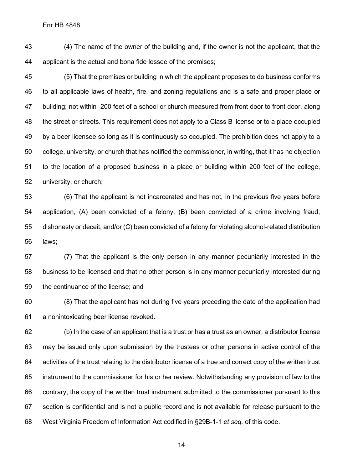(4) The name of the owner of the building and, if the owner is not the applicant, that the applicant is the actual and bona fide lessee of the premises;

 (5) That the premises or building in which the applicant proposes to do business conforms to all applicable laws of health, fire, and zoning regulations and is a safe and proper place or building; not within 200 feet of a school or church measured from front door to front door, along the street or streets. This requirement does not apply to a Class B license or to a place occupied by a beer licensee so long as it is continuously so occupied. The prohibition does not apply to a college, university, or church that has notified the commissioner, in writing, that it has no objection to the location of a proposed business in a place or building within 200 feet of the college, university, or church;

 (6) That the applicant is not incarcerated and has not, in the previous five years before application, (A) been convicted of a felony, (B) been convicted of a crime involving fraud, dishonesty or deceit, and/or (C) been convicted of a felony for violating alcohol-related distribution laws;

 (7) That the applicant is the only person in any manner pecuniarily interested in the business to be licensed and that no other person is in any manner pecuniarily interested during the continuance of the license; and

 (8) That the applicant has not during five years preceding the date of the application had a nonintoxicating beer license revoked.

 (b) In the case of an applicant that is a trust or has a trust as an owner, a distributor license may be issued only upon submission by the trustees or other persons in active control of the activities of the trust relating to the distributor license of a true and correct copy of the written trust instrument to the commissioner for his or her review. Notwithstanding any provision of law to the contrary, the copy of the written trust instrument submitted to the commissioner pursuant to this section is confidential and is not a public record and is not available for release pursuant to the West Virginia Freedom of Information Act codified in §29B-1-1 *et seq.* of this code.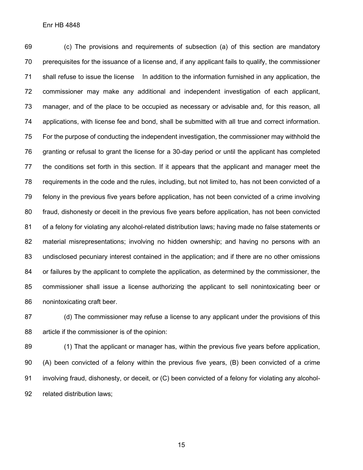(c) The provisions and requirements of subsection (a) of this section are mandatory prerequisites for the issuance of a license and, if any applicant fails to qualify, the commissioner shall refuse to issue the license In addition to the information furnished in any application, the commissioner may make any additional and independent investigation of each applicant, manager, and of the place to be occupied as necessary or advisable and, for this reason, all applications, with license fee and bond, shall be submitted with all true and correct information. For the purpose of conducting the independent investigation, the commissioner may withhold the granting or refusal to grant the license for a 30-day period or until the applicant has completed the conditions set forth in this section. If it appears that the applicant and manager meet the requirements in the code and the rules, including, but not limited to, has not been convicted of a felony in the previous five years before application, has not been convicted of a crime involving fraud, dishonesty or deceit in the previous five years before application, has not been convicted of a felony for violating any alcohol-related distribution laws; having made no false statements or material misrepresentations; involving no hidden ownership; and having no persons with an undisclosed pecuniary interest contained in the application; and if there are no other omissions or failures by the applicant to complete the application, as determined by the commissioner, the commissioner shall issue a license authorizing the applicant to sell nonintoxicating beer or nonintoxicating craft beer.

 (d) The commissioner may refuse a license to any applicant under the provisions of this article if the commissioner is of the opinion:

 (1) That the applicant or manager has, within the previous five years before application, (A) been convicted of a felony within the previous five years, (B) been convicted of a crime involving fraud, dishonesty, or deceit, or (C) been convicted of a felony for violating any alcohol-related distribution laws;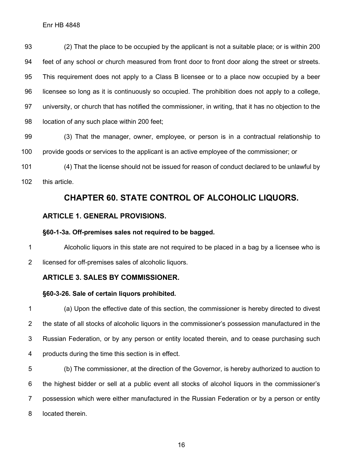(2) That the place to be occupied by the applicant is not a suitable place; or is within 200 feet of any school or church measured from front door to front door along the street or streets. This requirement does not apply to a Class B licensee or to a place now occupied by a beer licensee so long as it is continuously so occupied. The prohibition does not apply to a college, university, or church that has notified the commissioner, in writing, that it has no objection to the location of any such place within 200 feet;

 (3) That the manager, owner, employee, or person is in a contractual relationship to provide goods or services to the applicant is an active employee of the commissioner; or

 (4) That the license should not be issued for reason of conduct declared to be unlawful by this article.

## **CHAPTER 60. STATE CONTROL OF ALCOHOLIC LIQUORS.**

## **ARTICLE 1. GENERAL PROVISIONS.**

## **§60-1-3a. Off-premises sales not required to be bagged.**

 Alcoholic liquors in this state are not required to be placed in a bag by a licensee who is licensed for off-premises sales of alcoholic liquors.

## **ARTICLE 3. SALES BY COMMISSIONER.**

## **§60-3-26. Sale of certain liquors prohibited.**

 (a) Upon the effective date of this section, the commissioner is hereby directed to divest the state of all stocks of alcoholic liquors in the commissioner's possession manufactured in the Russian Federation, or by any person or entity located therein, and to cease purchasing such products during the time this section is in effect.

 (b) The commissioner, at the direction of the Governor, is hereby authorized to auction to the highest bidder or sell at a public event all stocks of alcohol liquors in the commissioner's possession which were either manufactured in the Russian Federation or by a person or entity located therein.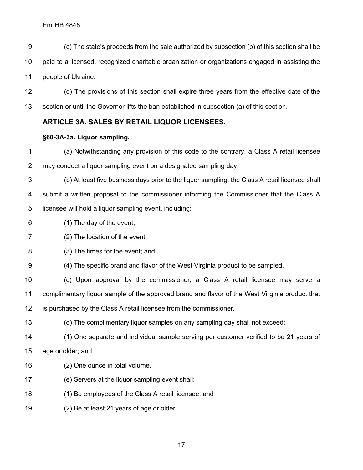- (c) The state's proceeds from the sale authorized by subsection (b) of this section shall be paid to a licensed, recognized charitable organization or organizations engaged in assisting the people of Ukraine.
- (d) The provisions of this section shall expire three years from the effective date of the section or until the Governor lifts the ban established in subsection (a) of this section.

### **ARTICLE 3A. SALES BY RETAIL LIQUOR LICENSEES.**

### **§60-3A-3a. Liquor sampling.**

- (a) Notwithstanding any provision of this code to the contrary, a Class A retail licensee may conduct a liquor sampling event on a designated sampling day.
- (b) At least five business days prior to the liquor sampling, the Class A retail licensee shall submit a written proposal to the commissioner informing the Commissioner that the Class A licensee will hold a liquor sampling event, including:
- (1) The day of the event;
- (2) The location of the event;
- (3) The times for the event; and
- (4) The specific brand and flavor of the West Virginia product to be sampled.
- (c) Upon approval by the commissioner, a Class A retail licensee may serve a complimentary liquor sample of the approved brand and flavor of the West Virginia product that is purchased by the Class A retail licensee from the commissioner.
- (d) The complimentary liquor samples on any sampling day shall not exceed:
- (1) One separate and individual sample serving per customer verified to be 21 years of age or older; and
- (2) One ounce in total volume.
- (e) Servers at the liquor sampling event shall:
- (1) Be employees of the Class A retail licensee; and
- (2) Be at least 21 years of age or older.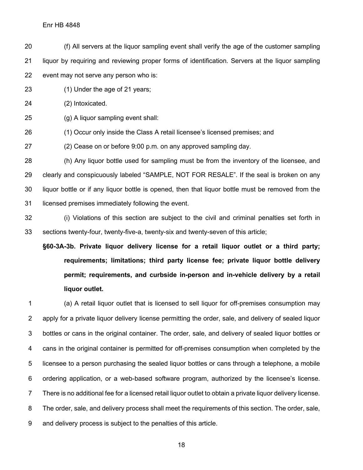(f) All servers at the liquor sampling event shall verify the age of the customer sampling liquor by requiring and reviewing proper forms of identification. Servers at the liquor sampling event may not serve any person who is:

(1) Under the age of 21 years;

(2) Intoxicated.

(g) A liquor sampling event shall:

(1) Occur only inside the Class A retail licensee's licensed premises; and

(2) Cease on or before 9:00 p.m. on any approved sampling day.

 (h) Any liquor bottle used for sampling must be from the inventory of the licensee, and clearly and conspicuously labeled "SAMPLE, NOT FOR RESALE". If the seal is broken on any liquor bottle or if any liquor bottle is opened, then that liquor bottle must be removed from the licensed premises immediately following the event.

 (i) Violations of this section are subject to the civil and criminal penalties set forth in sections twenty-four, twenty-five-a, twenty-six and twenty-seven of this article;

**§60-3A-3b. Private liquor delivery license for a retail liquor outlet or a third party; requirements; limitations; third party license fee; private liquor bottle delivery permit; requirements, and curbside in-person and in-vehicle delivery by a retail liquor outlet.**

 (a) A retail liquor outlet that is licensed to sell liquor for off-premises consumption may apply for a private liquor delivery license permitting the order, sale, and delivery of sealed liquor bottles or cans in the original container. The order, sale, and delivery of sealed liquor bottles or cans in the original container is permitted for off-premises consumption when completed by the licensee to a person purchasing the sealed liquor bottles or cans through a telephone, a mobile ordering application, or a web-based software program, authorized by the licensee's license. There is no additional fee for a licensed retail liquor outlet to obtain a private liquor delivery license. The order, sale, and delivery process shall meet the requirements of this section. The order, sale, and delivery process is subject to the penalties of this article.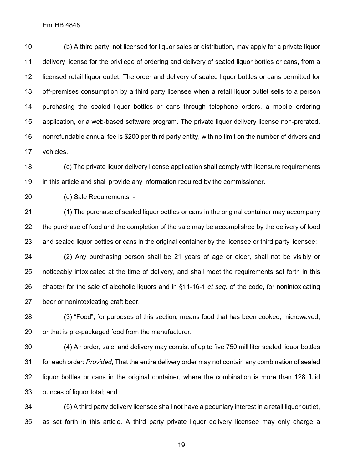(b) A third party, not licensed for liquor sales or distribution, may apply for a private liquor delivery license for the privilege of ordering and delivery of sealed liquor bottles or cans, from a licensed retail liquor outlet. The order and delivery of sealed liquor bottles or cans permitted for off-premises consumption by a third party licensee when a retail liquor outlet sells to a person purchasing the sealed liquor bottles or cans through telephone orders, a mobile ordering application, or a web-based software program. The private liquor delivery license non-prorated, nonrefundable annual fee is \$200 per third party entity, with no limit on the number of drivers and vehicles.

 (c) The private liquor delivery license application shall comply with licensure requirements in this article and shall provide any information required by the commissioner.

(d) Sale Requirements. -

 (1) The purchase of sealed liquor bottles or cans in the original container may accompany the purchase of food and the completion of the sale may be accomplished by the delivery of food and sealed liquor bottles or cans in the original container by the licensee or third party licensee;

 (2) Any purchasing person shall be 21 years of age or older, shall not be visibly or noticeably intoxicated at the time of delivery, and shall meet the requirements set forth in this chapter for the sale of alcoholic liquors and in §11-16-1 *et seq.* of the code, for nonintoxicating beer or nonintoxicating craft beer.

 (3) "Food", for purposes of this section, means food that has been cooked, microwaved, or that is pre-packaged food from the manufacturer.

 (4) An order, sale, and delivery may consist of up to five 750 milliliter sealed liquor bottles for each order: *Provided*, That the entire delivery order may not contain any combination of sealed liquor bottles or cans in the original container, where the combination is more than 128 fluid ounces of liquor total; and

 (5) A third party delivery licensee shall not have a pecuniary interest in a retail liquor outlet, as set forth in this article. A third party private liquor delivery licensee may only charge a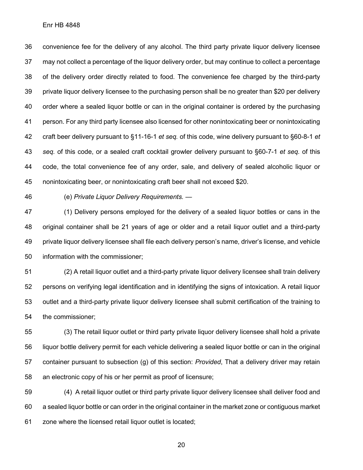convenience fee for the delivery of any alcohol. The third party private liquor delivery licensee may not collect a percentage of the liquor delivery order, but may continue to collect a percentage of the delivery order directly related to food. The convenience fee charged by the third-party private liquor delivery licensee to the purchasing person shall be no greater than \$20 per delivery order where a sealed liquor bottle or can in the original container is ordered by the purchasing person. For any third party licensee also licensed for other nonintoxicating beer or nonintoxicating craft beer delivery pursuant to §11-16-1 *et seq.* of this code, wine delivery pursuant to §60-8-1 *et seq.* of this code, or a sealed craft cocktail growler delivery pursuant to §60-7-1 *et seq.* of this code, the total convenience fee of any order, sale, and delivery of sealed alcoholic liquor or nonintoxicating beer, or nonintoxicating craft beer shall not exceed \$20.

(e) *Private Liquor Delivery Requirements.* —

 (1) Delivery persons employed for the delivery of a sealed liquor bottles or cans in the original container shall be 21 years of age or older and a retail liquor outlet and a third-party private liquor delivery licensee shall file each delivery person's name, driver's license, and vehicle information with the commissioner;

 (2) A retail liquor outlet and a third-party private liquor delivery licensee shall train delivery persons on verifying legal identification and in identifying the signs of intoxication. A retail liquor outlet and a third-party private liquor delivery licensee shall submit certification of the training to the commissioner;

 (3) The retail liquor outlet or third party private liquor delivery licensee shall hold a private liquor bottle delivery permit for each vehicle delivering a sealed liquor bottle or can in the original container pursuant to subsection (g) of this section: *Provided*, That a delivery driver may retain an electronic copy of his or her permit as proof of licensure;

 (4) A retail liquor outlet or third party private liquor delivery licensee shall deliver food and a sealed liquor bottle or can order in the original container in the market zone or contiguous market zone where the licensed retail liquor outlet is located;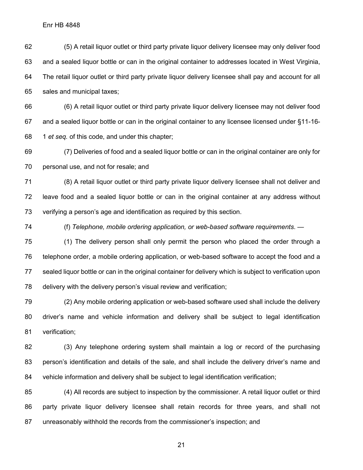(5) A retail liquor outlet or third party private liquor delivery licensee may only deliver food and a sealed liquor bottle or can in the original container to addresses located in West Virginia, The retail liquor outlet or third party private liquor delivery licensee shall pay and account for all sales and municipal taxes;

 (6) A retail liquor outlet or third party private liquor delivery licensee may not deliver food and a sealed liquor bottle or can in the original container to any licensee licensed under §11-16- 1 *et seq.* of this code, and under this chapter;

 (7) Deliveries of food and a sealed liquor bottle or can in the original container are only for personal use, and not for resale; and

 (8) A retail liquor outlet or third party private liquor delivery licensee shall not deliver and leave food and a sealed liquor bottle or can in the original container at any address without verifying a person's age and identification as required by this section.

(f) *Telephone, mobile ordering application, or web-based software requirements*. —

 (1) The delivery person shall only permit the person who placed the order through a telephone order, a mobile ordering application, or web-based software to accept the food and a sealed liquor bottle or can in the original container for delivery which is subject to verification upon delivery with the delivery person's visual review and verification;

 (2) Any mobile ordering application or web-based software used shall include the delivery driver's name and vehicle information and delivery shall be subject to legal identification verification;

 (3) Any telephone ordering system shall maintain a log or record of the purchasing person's identification and details of the sale, and shall include the delivery driver's name and vehicle information and delivery shall be subject to legal identification verification;

 (4) All records are subject to inspection by the commissioner. A retail liquor outlet or third party private liquor delivery licensee shall retain records for three years, and shall not unreasonably withhold the records from the commissioner's inspection; and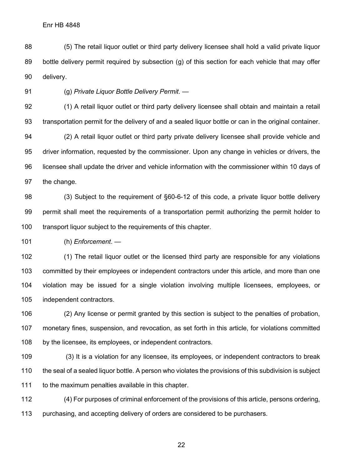(5) The retail liquor outlet or third party delivery licensee shall hold a valid private liquor bottle delivery permit required by subsection (g) of this section for each vehicle that may offer delivery.

(g) *Private Liquor Bottle Delivery Permit*. —

 (1) A retail liquor outlet or third party delivery licensee shall obtain and maintain a retail transportation permit for the delivery of and a sealed liquor bottle or can in the original container. (2) A retail liquor outlet or third party private delivery licensee shall provide vehicle and driver information, requested by the commissioner. Upon any change in vehicles or drivers, the licensee shall update the driver and vehicle information with the commissioner within 10 days of the change.

 (3) Subject to the requirement of §60-6-12 of this code, a private liquor bottle delivery permit shall meet the requirements of a transportation permit authorizing the permit holder to transport liquor subject to the requirements of this chapter.

(h) *Enforcement*. —

 (1) The retail liquor outlet or the licensed third party are responsible for any violations committed by their employees or independent contractors under this article, and more than one violation may be issued for a single violation involving multiple licensees, employees, or independent contractors.

 (2) Any license or permit granted by this section is subject to the penalties of probation, monetary fines, suspension, and revocation, as set forth in this article, for violations committed by the licensee, its employees, or independent contractors.

 (3) It is a violation for any licensee, its employees, or independent contractors to break the seal of a sealed liquor bottle. A person who violates the provisions of this subdivision is subject to the maximum penalties available in this chapter.

 (4) For purposes of criminal enforcement of the provisions of this article, persons ordering, purchasing, and accepting delivery of orders are considered to be purchasers.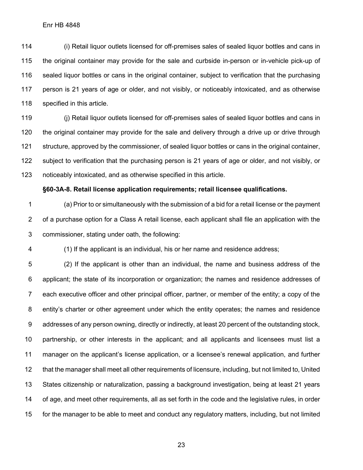(i) Retail liquor outlets licensed for off-premises sales of sealed liquor bottles and cans in the original container may provide for the sale and curbside in-person or in-vehicle pick-up of sealed liquor bottles or cans in the original container, subject to verification that the purchasing person is 21 years of age or older, and not visibly, or noticeably intoxicated, and as otherwise specified in this article.

 (j) Retail liquor outlets licensed for off-premises sales of sealed liquor bottles and cans in the original container may provide for the sale and delivery through a drive up or drive through structure, approved by the commissioner, of sealed liquor bottles or cans in the original container, subject to verification that the purchasing person is 21 years of age or older, and not visibly, or noticeably intoxicated, and as otherwise specified in this article.

#### **§60-3A-8. Retail license application requirements; retail licensee qualifications.**

 (a) Prior to or simultaneously with the submission of a bid for a retail license or the payment of a purchase option for a Class A retail license, each applicant shall file an application with the commissioner, stating under oath, the following:

(1) If the applicant is an individual, his or her name and residence address;

 (2) If the applicant is other than an individual, the name and business address of the applicant; the state of its incorporation or organization; the names and residence addresses of each executive officer and other principal officer, partner, or member of the entity; a copy of the entity's charter or other agreement under which the entity operates; the names and residence addresses of any person owning, directly or indirectly, at least 20 percent of the outstanding stock, partnership, or other interests in the applicant; and all applicants and licensees must list a manager on the applicant's license application, or a licensee's renewal application, and further that the manager shall meet all other requirements of licensure, including, but not limited to, United States citizenship or naturalization, passing a background investigation, being at least 21 years of age, and meet other requirements, all as set forth in the code and the legislative rules, in order for the manager to be able to meet and conduct any regulatory matters, including, but not limited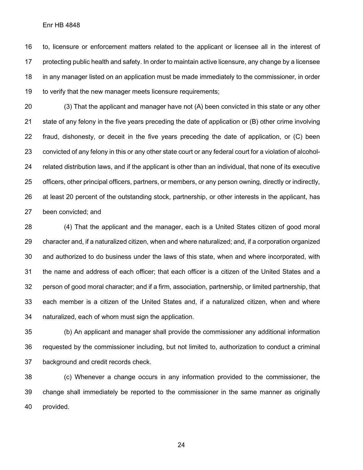to, licensure or enforcement matters related to the applicant or licensee all in the interest of protecting public health and safety. In order to maintain active licensure, any change by a licensee in any manager listed on an application must be made immediately to the commissioner, in order to verify that the new manager meets licensure requirements;

 (3) That the applicant and manager have not (A) been convicted in this state or any other state of any felony in the five years preceding the date of application or (B) other crime involving fraud, dishonesty, or deceit in the five years preceding the date of application, or (C) been convicted of any felony in this or any other state court or any federal court for a violation of alcohol- related distribution laws, and if the applicant is other than an individual, that none of its executive officers, other principal officers, partners, or members, or any person owning, directly or indirectly, at least 20 percent of the outstanding stock, partnership, or other interests in the applicant, has been convicted; and

 (4) That the applicant and the manager, each is a United States citizen of good moral character and, if a naturalized citizen, when and where naturalized; and, if a corporation organized and authorized to do business under the laws of this state, when and where incorporated, with the name and address of each officer; that each officer is a citizen of the United States and a person of good moral character; and if a firm, association, partnership, or limited partnership, that each member is a citizen of the United States and, if a naturalized citizen, when and where naturalized, each of whom must sign the application.

 (b) An applicant and manager shall provide the commissioner any additional information requested by the commissioner including, but not limited to, authorization to conduct a criminal background and credit records check.

 (c) Whenever a change occurs in any information provided to the commissioner, the change shall immediately be reported to the commissioner in the same manner as originally provided.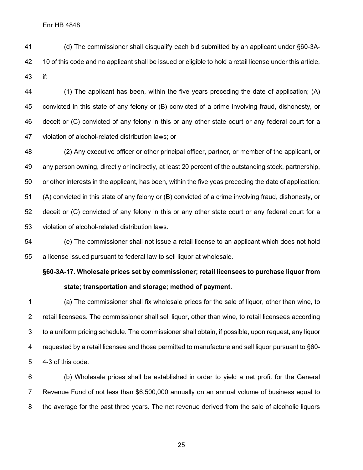(d) The commissioner shall disqualify each bid submitted by an applicant under §60-3A- 10 of this code and no applicant shall be issued or eligible to hold a retail license under this article, if:

 (1) The applicant has been, within the five years preceding the date of application; (A) convicted in this state of any felony or (B) convicted of a crime involving fraud, dishonesty, or deceit or (C) convicted of any felony in this or any other state court or any federal court for a violation of alcohol-related distribution laws; or

 (2) Any executive officer or other principal officer, partner, or member of the applicant, or any person owning, directly or indirectly, at least 20 percent of the outstanding stock, partnership, or other interests in the applicant, has been, within the five yeas preceding the date of application; (A) convicted in this state of any felony or (B) convicted of a crime involving fraud, dishonesty, or deceit or (C) convicted of any felony in this or any other state court or any federal court for a violation of alcohol-related distribution laws.

 (e) The commissioner shall not issue a retail license to an applicant which does not hold a license issued pursuant to federal law to sell liquor at wholesale.

## **§60-3A-17. Wholesale prices set by commissioner; retail licensees to purchase liquor from state; transportation and storage; method of payment.**

 (a) The commissioner shall fix wholesale prices for the sale of liquor, other than wine, to retail licensees. The commissioner shall sell liquor, other than wine, to retail licensees according to a uniform pricing schedule. The commissioner shall obtain, if possible, upon request, any liquor requested by a retail licensee and those permitted to manufacture and sell liquor pursuant to §60- 4-3 of this code.

 (b) Wholesale prices shall be established in order to yield a net profit for the General Revenue Fund of not less than \$6,500,000 annually on an annual volume of business equal to the average for the past three years. The net revenue derived from the sale of alcoholic liquors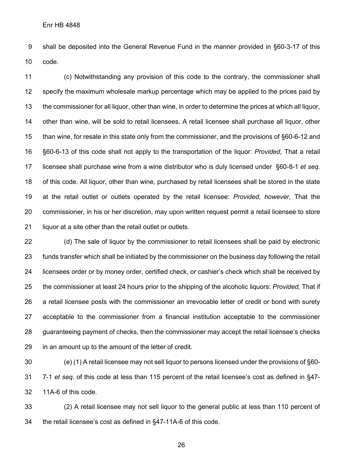shall be deposited into the General Revenue Fund in the manner provided in §60-3-17 of this code.

 (c) Notwithstanding any provision of this code to the contrary, the commissioner shall specify the maximum wholesale markup percentage which may be applied to the prices paid by the commissioner for all liquor, other than wine, in order to determine the prices at which all liquor, other than wine, will be sold to retail licensees. A retail licensee shall purchase all liquor, other than wine, for resale in this state only from the commissioner, and the provisions of §60-6-12 and §60-6-13 of this code shall not apply to the transportation of the liquor: *Provided,* That a retail licensee shall purchase wine from a wine distributor who is duly licensed under §60-8-1 *et seq.*  of this code. All liquor, other than wine, purchased by retail licensees shall be stored in the state at the retail outlet or outlets operated by the retail licensee: *Provided, however,* That the commissioner, in his or her discretion, may upon written request permit a retail licensee to store liquor at a site other than the retail outlet or outlets.

 (d) The sale of liquor by the commissioner to retail licensees shall be paid by electronic funds transfer which shall be initiated by the commissioner on the business day following the retail licensees order or by money order, certified check, or cashier's check which shall be received by the commissioner at least 24 hours prior to the shipping of the alcoholic liquors: *Provided,* That if a retail licensee posts with the commissioner an irrevocable letter of credit or bond with surety acceptable to the commissioner from a financial institution acceptable to the commissioner guaranteeing payment of checks, then the commissioner may accept the retail licensee's checks in an amount up to the amount of the letter of credit.

 (e) (1) A retail licensee may not sell liquor to persons licensed under the provisions of §60- 7-1 *et seq.* of this code at less than 115 percent of the retail licensee's cost as defined in §47- 11A-6 of this code.

 (2) A retail licensee may not sell liquor to the general public at less than 110 percent of the retail licensee's cost as defined in §47-11A-6 of this code.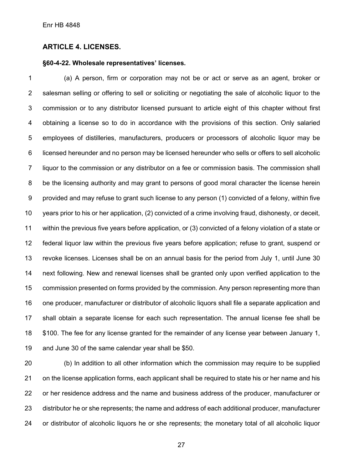#### **ARTICLE 4. LICENSES.**

#### **§60-4-22. Wholesale representatives' licenses.**

 (a) A person, firm or corporation may not be or act or serve as an agent, broker or salesman selling or offering to sell or soliciting or negotiating the sale of alcoholic liquor to the commission or to any distributor licensed pursuant to article eight of this chapter without first obtaining a license so to do in accordance with the provisions of this section. Only salaried employees of distilleries, manufacturers, producers or processors of alcoholic liquor may be licensed hereunder and no person may be licensed hereunder who sells or offers to sell alcoholic liquor to the commission or any distributor on a fee or commission basis. The commission shall be the licensing authority and may grant to persons of good moral character the license herein provided and may refuse to grant such license to any person (1) convicted of a felony, within five years prior to his or her application, (2) convicted of a crime involving fraud, dishonesty, or deceit, within the previous five years before application, or (3) convicted of a felony violation of a state or federal liquor law within the previous five years before application; refuse to grant, suspend or revoke licenses. Licenses shall be on an annual basis for the period from July 1, until June 30 next following. New and renewal licenses shall be granted only upon verified application to the commission presented on forms provided by the commission. Any person representing more than one producer, manufacturer or distributor of alcoholic liquors shall file a separate application and shall obtain a separate license for each such representation. The annual license fee shall be \$100. The fee for any license granted for the remainder of any license year between January 1, and June 30 of the same calendar year shall be \$50.

 (b) In addition to all other information which the commission may require to be supplied on the license application forms, each applicant shall be required to state his or her name and his or her residence address and the name and business address of the producer, manufacturer or distributor he or she represents; the name and address of each additional producer, manufacturer or distributor of alcoholic liquors he or she represents; the monetary total of all alcoholic liquor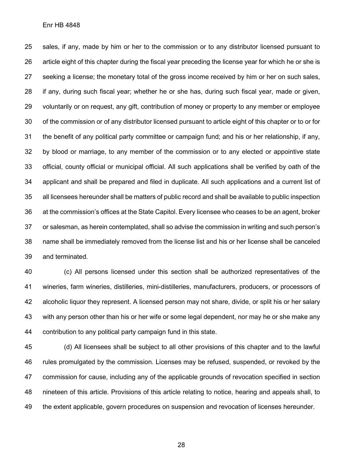sales, if any, made by him or her to the commission or to any distributor licensed pursuant to article eight of this chapter during the fiscal year preceding the license year for which he or she is seeking a license; the monetary total of the gross income received by him or her on such sales, if any, during such fiscal year; whether he or she has, during such fiscal year, made or given, voluntarily or on request, any gift, contribution of money or property to any member or employee of the commission or of any distributor licensed pursuant to article eight of this chapter or to or for the benefit of any political party committee or campaign fund; and his or her relationship, if any, by blood or marriage, to any member of the commission or to any elected or appointive state official, county official or municipal official. All such applications shall be verified by oath of the applicant and shall be prepared and filed in duplicate. All such applications and a current list of all licensees hereunder shall be matters of public record and shall be available to public inspection at the commission's offices at the State Capitol. Every licensee who ceases to be an agent, broker or salesman, as herein contemplated, shall so advise the commission in writing and such person's name shall be immediately removed from the license list and his or her license shall be canceled and terminated.

 (c) All persons licensed under this section shall be authorized representatives of the wineries, farm wineries, distilleries, mini-distilleries, manufacturers, producers, or processors of alcoholic liquor they represent. A licensed person may not share, divide, or split his or her salary with any person other than his or her wife or some legal dependent, nor may he or she make any contribution to any political party campaign fund in this state.

 (d) All licensees shall be subject to all other provisions of this chapter and to the lawful rules promulgated by the commission. Licenses may be refused, suspended, or revoked by the commission for cause, including any of the applicable grounds of revocation specified in section nineteen of this article. Provisions of this article relating to notice, hearing and appeals shall, to the extent applicable, govern procedures on suspension and revocation of licenses hereunder.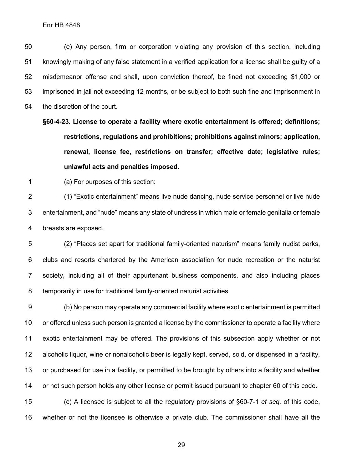(e) Any person, firm or corporation violating any provision of this section, including knowingly making of any false statement in a verified application for a license shall be guilty of a misdemeanor offense and shall, upon conviction thereof, be fined not exceeding \$1,000 or imprisoned in jail not exceeding 12 months, or be subject to both such fine and imprisonment in the discretion of the court.

**§60-4-23. License to operate a facility where exotic entertainment is offered; definitions; restrictions, regulations and prohibitions; prohibitions against minors; application, renewal, license fee, restrictions on transfer; effective date; legislative rules; unlawful acts and penalties imposed.**

(a) For purposes of this section:

 (1) "Exotic entertainment" means live nude dancing, nude service personnel or live nude entertainment, and "nude" means any state of undress in which male or female genitalia or female breasts are exposed.

 (2) "Places set apart for traditional family-oriented naturism" means family nudist parks, clubs and resorts chartered by the American association for nude recreation or the naturist society, including all of their appurtenant business components, and also including places temporarily in use for traditional family-oriented naturist activities.

 (b) No person may operate any commercial facility where exotic entertainment is permitted or offered unless such person is granted a license by the commissioner to operate a facility where exotic entertainment may be offered. The provisions of this subsection apply whether or not alcoholic liquor, wine or nonalcoholic beer is legally kept, served, sold, or dispensed in a facility, or purchased for use in a facility, or permitted to be brought by others into a facility and whether or not such person holds any other license or permit issued pursuant to chapter 60 of this code.

 (c) A licensee is subject to all the regulatory provisions of §60-7-1 *et seq.* of this code, whether or not the licensee is otherwise a private club. The commissioner shall have all the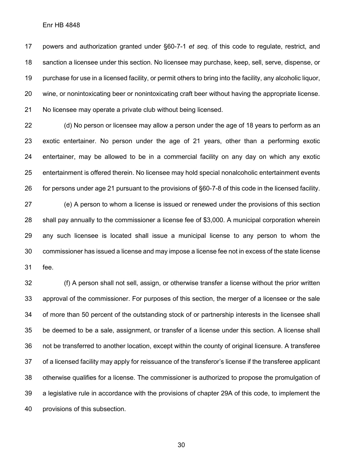powers and authorization granted under §60-7-1 *et seq.* of this code to regulate, restrict, and sanction a licensee under this section. No licensee may purchase, keep, sell, serve, dispense, or purchase for use in a licensed facility, or permit others to bring into the facility, any alcoholic liquor, wine, or nonintoxicating beer or nonintoxicating craft beer without having the appropriate license. No licensee may operate a private club without being licensed.

 (d) No person or licensee may allow a person under the age of 18 years to perform as an exotic entertainer. No person under the age of 21 years, other than a performing exotic entertainer, may be allowed to be in a commercial facility on any day on which any exotic entertainment is offered therein. No licensee may hold special nonalcoholic entertainment events for persons under age 21 pursuant to the provisions of §60-7-8 of this code in the licensed facility.

 (e) A person to whom a license is issued or renewed under the provisions of this section shall pay annually to the commissioner a license fee of \$3,000. A municipal corporation wherein any such licensee is located shall issue a municipal license to any person to whom the commissioner has issued a license and may impose a license fee not in excess of the state license fee.

 (f) A person shall not sell, assign, or otherwise transfer a license without the prior written approval of the commissioner. For purposes of this section, the merger of a licensee or the sale of more than 50 percent of the outstanding stock of or partnership interests in the licensee shall be deemed to be a sale, assignment, or transfer of a license under this section. A license shall not be transferred to another location, except within the county of original licensure. A transferee of a licensed facility may apply for reissuance of the transferor's license if the transferee applicant otherwise qualifies for a license. The commissioner is authorized to propose the promulgation of a legislative rule in accordance with the provisions of chapter 29A of this code, to implement the provisions of this subsection.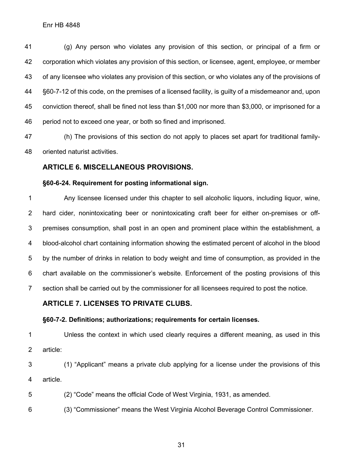(g) Any person who violates any provision of this section, or principal of a firm or corporation which violates any provision of this section, or licensee, agent, employee, or member of any licensee who violates any provision of this section, or who violates any of the provisions of §60-7-12 of this code, on the premises of a licensed facility, is guilty of a misdemeanor and, upon conviction thereof, shall be fined not less than \$1,000 nor more than \$3,000, or imprisoned for a period not to exceed one year, or both so fined and imprisoned.

 (h) The provisions of this section do not apply to places set apart for traditional family-oriented naturist activities.

#### **ARTICLE 6. MISCELLANEOUS PROVISIONS.**

#### **§60-6-24. Requirement for posting informational sign.**

 Any licensee licensed under this chapter to sell alcoholic liquors, including liquor, wine, hard cider, nonintoxicating beer or nonintoxicating craft beer for either on-premises or off- premises consumption, shall post in an open and prominent place within the establishment, a blood-alcohol chart containing information showing the estimated percent of alcohol in the blood by the number of drinks in relation to body weight and time of consumption, as provided in the chart available on the commissioner's website. Enforcement of the posting provisions of this section shall be carried out by the commissioner for all licensees required to post the notice.

#### **ARTICLE 7. LICENSES TO PRIVATE CLUBS.**

#### **§60-7-2. Definitions; authorizations; requirements for certain licenses.**

 Unless the context in which used clearly requires a different meaning, as used in this article:

 (1) "Applicant" means a private club applying for a license under the provisions of this article.

(2) "Code" means the official Code of West Virginia, 1931, as amended.

(3) "Commissioner" means the West Virginia Alcohol Beverage Control Commissioner.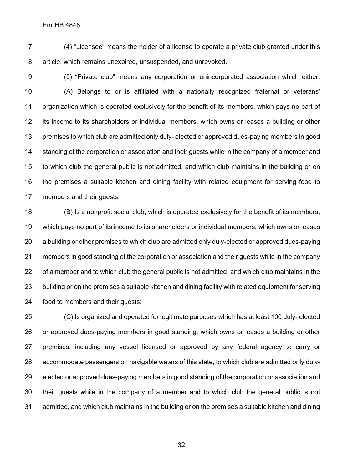(4) "Licensee" means the holder of a license to operate a private club granted under this article, which remains unexpired, unsuspended, and unrevoked.

 (5) "Private club" means any corporation or unincorporated association which either: (A) Belongs to or is affiliated with a nationally recognized fraternal or veterans' organization which is operated exclusively for the benefit of its members, which pays no part of its income to its shareholders or individual members, which owns or leases a building or other premises to which club are admitted only duly- elected or approved dues-paying members in good standing of the corporation or association and their guests while in the company of a member and to which club the general public is not admitted, and which club maintains in the building or on the premises a suitable kitchen and dining facility with related equipment for serving food to members and their guests;

 (B) Is a nonprofit social club, which is operated exclusively for the benefit of its members, which pays no part of its income to its shareholders or individual members, which owns or leases a building or other premises to which club are admitted only duly-elected or approved dues-paying members in good standing of the corporation or association and their guests while in the company 22 of a member and to which club the general public is not admitted, and which club maintains in the building or on the premises a suitable kitchen and dining facility with related equipment for serving food to members and their guests;

 (C) Is organized and operated for legitimate purposes which has at least 100 duly- elected or approved dues-paying members in good standing, which owns or leases a building or other premises, including any vessel licensed or approved by any federal agency to carry or accommodate passengers on navigable waters of this state, to which club are admitted only duly- elected or approved dues-paying members in good standing of the corporation or association and their guests while in the company of a member and to which club the general public is not admitted, and which club maintains in the building or on the premises a suitable kitchen and dining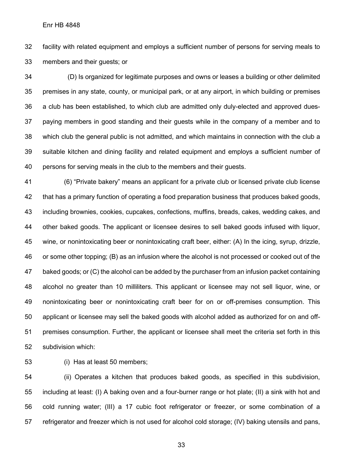facility with related equipment and employs a sufficient number of persons for serving meals to members and their guests; or

34 (D) Is organized for legitimate purposes and owns or leases a building or other delimited premises in any state, county, or municipal park, or at any airport, in which building or premises a club has been established, to which club are admitted only duly-elected and approved dues- paying members in good standing and their guests while in the company of a member and to which club the general public is not admitted, and which maintains in connection with the club a suitable kitchen and dining facility and related equipment and employs a sufficient number of persons for serving meals in the club to the members and their guests.

 (6) "Private bakery" means an applicant for a private club or licensed private club license that has a primary function of operating a food preparation business that produces baked goods, including brownies, cookies, cupcakes, confections, muffins, breads, cakes, wedding cakes, and other baked goods. The applicant or licensee desires to sell baked goods infused with liquor, wine, or nonintoxicating beer or nonintoxicating craft beer, either: (A) In the icing, syrup, drizzle, or some other topping; (B) as an infusion where the alcohol is not processed or cooked out of the baked goods; or (C) the alcohol can be added by the purchaser from an infusion packet containing alcohol no greater than 10 milliliters. This applicant or licensee may not sell liquor, wine, or nonintoxicating beer or nonintoxicating craft beer for on or off-premises consumption. This applicant or licensee may sell the baked goods with alcohol added as authorized for on and off- premises consumption. Further, the applicant or licensee shall meet the criteria set forth in this subdivision which:

(i) Has at least 50 members;

 (ii) Operates a kitchen that produces baked goods, as specified in this subdivision, including at least: (I) A baking oven and a four-burner range or hot plate; (II) a sink with hot and cold running water; (III) a 17 cubic foot refrigerator or freezer, or some combination of a refrigerator and freezer which is not used for alcohol cold storage; (IV) baking utensils and pans,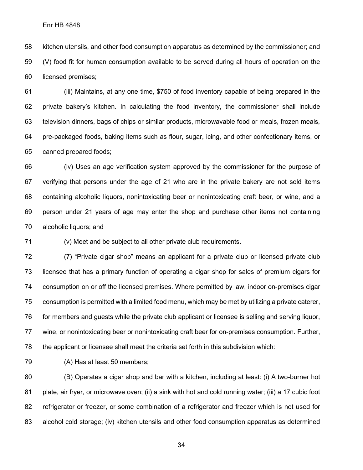kitchen utensils, and other food consumption apparatus as determined by the commissioner; and (V) food fit for human consumption available to be served during all hours of operation on the licensed premises;

 (iii) Maintains, at any one time, \$750 of food inventory capable of being prepared in the private bakery's kitchen. In calculating the food inventory, the commissioner shall include television dinners, bags of chips or similar products, microwavable food or meals, frozen meals, pre-packaged foods, baking items such as flour, sugar, icing, and other confectionary items, or canned prepared foods;

 (iv) Uses an age verification system approved by the commissioner for the purpose of verifying that persons under the age of 21 who are in the private bakery are not sold items containing alcoholic liquors, nonintoxicating beer or nonintoxicating craft beer, or wine, and a person under 21 years of age may enter the shop and purchase other items not containing alcoholic liquors; and

(v) Meet and be subject to all other private club requirements.

 (7) "Private cigar shop" means an applicant for a private club or licensed private club licensee that has a primary function of operating a cigar shop for sales of premium cigars for consumption on or off the licensed premises. Where permitted by law, indoor on-premises cigar consumption is permitted with a limited food menu, which may be met by utilizing a private caterer, for members and guests while the private club applicant or licensee is selling and serving liquor, wine, or nonintoxicating beer or nonintoxicating craft beer for on-premises consumption. Further, the applicant or licensee shall meet the criteria set forth in this subdivision which:

(A) Has at least 50 members;

 (B) Operates a cigar shop and bar with a kitchen, including at least: (i) A two-burner hot plate, air fryer, or microwave oven; (ii) a sink with hot and cold running water; (iii) a 17 cubic foot refrigerator or freezer, or some combination of a refrigerator and freezer which is not used for alcohol cold storage; (iv) kitchen utensils and other food consumption apparatus as determined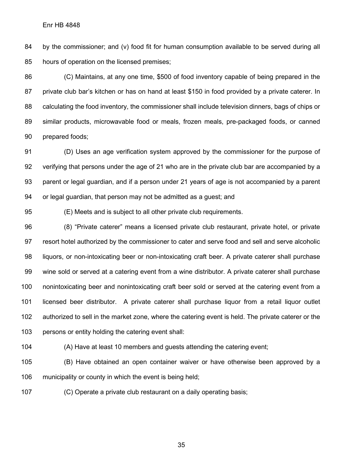by the commissioner; and (v) food fit for human consumption available to be served during all hours of operation on the licensed premises;

 (C) Maintains, at any one time, \$500 of food inventory capable of being prepared in the 87 private club bar's kitchen or has on hand at least \$150 in food provided by a private caterer. In calculating the food inventory, the commissioner shall include television dinners, bags of chips or similar products, microwavable food or meals, frozen meals, pre-packaged foods, or canned prepared foods;

 (D) Uses an age verification system approved by the commissioner for the purpose of verifying that persons under the age of 21 who are in the private club bar are accompanied by a parent or legal guardian, and if a person under 21 years of age is not accompanied by a parent or legal guardian, that person may not be admitted as a guest; and

(E) Meets and is subject to all other private club requirements.

 (8) "Private caterer" means a licensed private club restaurant, private hotel, or private resort hotel authorized by the commissioner to cater and serve food and sell and serve alcoholic liquors, or non-intoxicating beer or non-intoxicating craft beer. A private caterer shall purchase wine sold or served at a catering event from a wine distributor. A private caterer shall purchase nonintoxicating beer and nonintoxicating craft beer sold or served at the catering event from a licensed beer distributor. A private caterer shall purchase liquor from a retail liquor outlet authorized to sell in the market zone, where the catering event is held. The private caterer or the persons or entity holding the catering event shall:

(A) Have at least 10 members and guests attending the catering event;

 (B) Have obtained an open container waiver or have otherwise been approved by a municipality or county in which the event is being held;

(C) Operate a private club restaurant on a daily operating basis;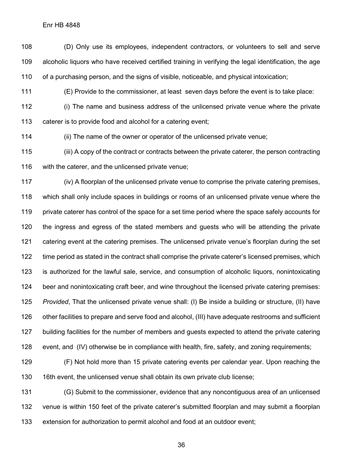Enr HB 4848

 (D) Only use its employees, independent contractors, or volunteers to sell and serve alcoholic liquors who have received certified training in verifying the legal identification, the age of a purchasing person, and the signs of visible, noticeable, and physical intoxication;

(E) Provide to the commissioner, at least seven days before the event is to take place:

 (i) The name and business address of the unlicensed private venue where the private caterer is to provide food and alcohol for a catering event;

(ii) The name of the owner or operator of the unlicensed private venue;

 (iii) A copy of the contract or contracts between the private caterer, the person contracting with the caterer, and the unlicensed private venue;

 (iv) A floorplan of the unlicensed private venue to comprise the private catering premises, which shall only include spaces in buildings or rooms of an unlicensed private venue where the private caterer has control of the space for a set time period where the space safely accounts for the ingress and egress of the stated members and guests who will be attending the private catering event at the catering premises. The unlicensed private venue's floorplan during the set time period as stated in the contract shall comprise the private caterer's licensed premises, which is authorized for the lawful sale, service, and consumption of alcoholic liquors, nonintoxicating beer and nonintoxicating craft beer, and wine throughout the licensed private catering premises: *Provided*, That the unlicensed private venue shall: (I) Be inside a building or structure, (II) have other facilities to prepare and serve food and alcohol, (III) have adequate restrooms and sufficient building facilities for the number of members and guests expected to attend the private catering event, and (IV) otherwise be in compliance with health, fire, safety, and zoning requirements;

 (F) Not hold more than 15 private catering events per calendar year. Upon reaching the 16th event, the unlicensed venue shall obtain its own private club license;

 (G) Submit to the commissioner, evidence that any noncontiguous area of an unlicensed venue is within 150 feet of the private caterer's submitted floorplan and may submit a floorplan extension for authorization to permit alcohol and food at an outdoor event;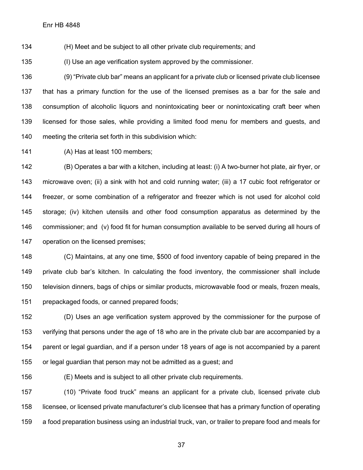(H) Meet and be subject to all other private club requirements; and

(I) Use an age verification system approved by the commissioner.

 (9) "Private club bar" means an applicant for a private club or licensed private club licensee that has a primary function for the use of the licensed premises as a bar for the sale and consumption of alcoholic liquors and nonintoxicating beer or nonintoxicating craft beer when licensed for those sales, while providing a limited food menu for members and guests, and meeting the criteria set forth in this subdivision which:

(A) Has at least 100 members;

 (B) Operates a bar with a kitchen, including at least: (i) A two-burner hot plate, air fryer, or microwave oven; (ii) a sink with hot and cold running water; (iii) a 17 cubic foot refrigerator or freezer, or some combination of a refrigerator and freezer which is not used for alcohol cold storage; (iv) kitchen utensils and other food consumption apparatus as determined by the commissioner; and (v) food fit for human consumption available to be served during all hours of operation on the licensed premises;

 (C) Maintains, at any one time, \$500 of food inventory capable of being prepared in the private club bar's kitchen. In calculating the food inventory, the commissioner shall include television dinners, bags of chips or similar products, microwavable food or meals, frozen meals, prepackaged foods, or canned prepared foods;

 (D) Uses an age verification system approved by the commissioner for the purpose of verifying that persons under the age of 18 who are in the private club bar are accompanied by a parent or legal guardian, and if a person under 18 years of age is not accompanied by a parent or legal guardian that person may not be admitted as a guest; and

(E) Meets and is subject to all other private club requirements.

 (10) "Private food truck" means an applicant for a private club, licensed private club licensee, or licensed private manufacturer's club licensee that has a primary function of operating a food preparation business using an industrial truck, van, or trailer to prepare food and meals for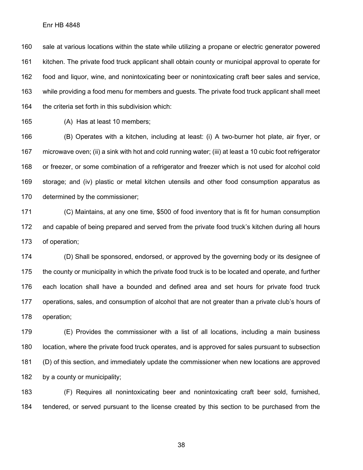sale at various locations within the state while utilizing a propane or electric generator powered kitchen. The private food truck applicant shall obtain county or municipal approval to operate for food and liquor, wine, and nonintoxicating beer or nonintoxicating craft beer sales and service, while providing a food menu for members and guests. The private food truck applicant shall meet the criteria set forth in this subdivision which:

(A) Has at least 10 members;

 (B) Operates with a kitchen, including at least: (i) A two-burner hot plate, air fryer, or microwave oven; (ii) a sink with hot and cold running water; (iii) at least a 10 cubic foot refrigerator or freezer, or some combination of a refrigerator and freezer which is not used for alcohol cold storage; and (iv) plastic or metal kitchen utensils and other food consumption apparatus as determined by the commissioner;

 (C) Maintains, at any one time, \$500 of food inventory that is fit for human consumption and capable of being prepared and served from the private food truck's kitchen during all hours of operation;

 (D) Shall be sponsored, endorsed, or approved by the governing body or its designee of the county or municipality in which the private food truck is to be located and operate, and further each location shall have a bounded and defined area and set hours for private food truck operations, sales, and consumption of alcohol that are not greater than a private club's hours of operation;

 (E) Provides the commissioner with a list of all locations, including a main business location, where the private food truck operates, and is approved for sales pursuant to subsection (D) of this section, and immediately update the commissioner when new locations are approved 182 by a county or municipality;

 (F) Requires all nonintoxicating beer and nonintoxicating craft beer sold, furnished, tendered, or served pursuant to the license created by this section to be purchased from the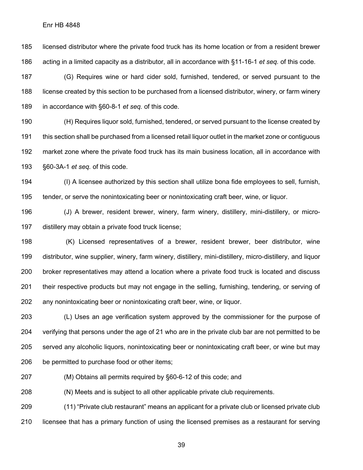licensed distributor where the private food truck has its home location or from a resident brewer acting in a limited capacity as a distributor, all in accordance with §11-16-1 *et seq.* of this code.

 (G) Requires wine or hard cider sold, furnished, tendered, or served pursuant to the license created by this section to be purchased from a licensed distributor, winery, or farm winery in accordance with §60-8-1 *et seq.* of this code.

 (H) Requires liquor sold, furnished, tendered, or served pursuant to the license created by this section shall be purchased from a licensed retail liquor outlet in the market zone or contiguous market zone where the private food truck has its main business location, all in accordance with §60-3A-1 *et seq.* of this code.

 (I) A licensee authorized by this section shall utilize bona fide employees to sell, furnish, tender, or serve the nonintoxicating beer or nonintoxicating craft beer, wine, or liquor.

 (J) A brewer, resident brewer, winery, farm winery, distillery, mini-distillery, or micro-distillery may obtain a private food truck license;

 (K) Licensed representatives of a brewer, resident brewer, beer distributor, wine distributor, wine supplier, winery, farm winery, distillery, mini-distillery, micro-distillery, and liquor broker representatives may attend a location where a private food truck is located and discuss their respective products but may not engage in the selling, furnishing, tendering, or serving of any nonintoxicating beer or nonintoxicating craft beer, wine, or liquor.

 (L) Uses an age verification system approved by the commissioner for the purpose of verifying that persons under the age of 21 who are in the private club bar are not permitted to be served any alcoholic liquors, nonintoxicating beer or nonintoxicating craft beer, or wine but may be permitted to purchase food or other items;

(M) Obtains all permits required by §60-6-12 of this code; and

(N) Meets and is subject to all other applicable private club requirements.

 (11) "Private club restaurant" means an applicant for a private club or licensed private club licensee that has a primary function of using the licensed premises as a restaurant for serving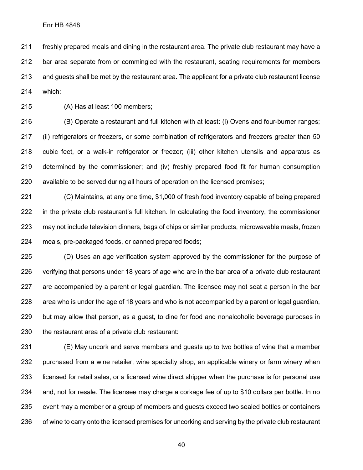freshly prepared meals and dining in the restaurant area. The private club restaurant may have a bar area separate from or commingled with the restaurant, seating requirements for members and guests shall be met by the restaurant area. The applicant for a private club restaurant license which:

(A) Has at least 100 members;

 (B) Operate a restaurant and full kitchen with at least: (i) Ovens and four-burner ranges; 217 (ii) refrigerators or freezers, or some combination of refrigerators and freezers greater than 50 cubic feet, or a walk-in refrigerator or freezer; (iii) other kitchen utensils and apparatus as determined by the commissioner; and (iv) freshly prepared food fit for human consumption available to be served during all hours of operation on the licensed premises;

 (C) Maintains, at any one time, \$1,000 of fresh food inventory capable of being prepared in the private club restaurant's full kitchen. In calculating the food inventory, the commissioner may not include television dinners, bags of chips or similar products, microwavable meals, frozen meals, pre-packaged foods, or canned prepared foods;

 (D) Uses an age verification system approved by the commissioner for the purpose of verifying that persons under 18 years of age who are in the bar area of a private club restaurant are accompanied by a parent or legal guardian. The licensee may not seat a person in the bar area who is under the age of 18 years and who is not accompanied by a parent or legal guardian, but may allow that person, as a guest, to dine for food and nonalcoholic beverage purposes in the restaurant area of a private club restaurant:

 (E) May uncork and serve members and guests up to two bottles of wine that a member purchased from a wine retailer, wine specialty shop, an applicable winery or farm winery when licensed for retail sales, or a licensed wine direct shipper when the purchase is for personal use and, not for resale. The licensee may charge a corkage fee of up to \$10 dollars per bottle. In no event may a member or a group of members and guests exceed two sealed bottles or containers 236 of wine to carry onto the licensed premises for uncorking and serving by the private club restaurant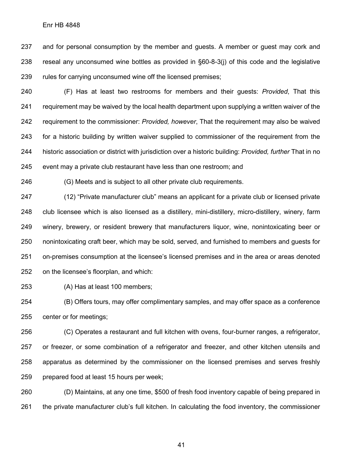and for personal consumption by the member and guests. A member or guest may cork and reseal any unconsumed wine bottles as provided in §60-8-3(j) of this code and the legislative rules for carrying unconsumed wine off the licensed premises;

 (F) Has at least two restrooms for members and their guests: *Provided*, That this requirement may be waived by the local health department upon supplying a written waiver of the requirement to the commissioner: *Provided, however*, That the requirement may also be waived for a historic building by written waiver supplied to commissioner of the requirement from the historic association or district with jurisdiction over a historic building: *Provided, further* That in no event may a private club restaurant have less than one restroom; and

(G) Meets and is subject to all other private club requirements.

 (12) "Private manufacturer club" means an applicant for a private club or licensed private club licensee which is also licensed as a distillery, mini-distillery, micro-distillery, winery, farm winery, brewery, or resident brewery that manufacturers liquor, wine, nonintoxicating beer or nonintoxicating craft beer, which may be sold, served, and furnished to members and guests for on-premises consumption at the licensee's licensed premises and in the area or areas denoted on the licensee's floorplan, and which:

(A) Has at least 100 members;

 (B) Offers tours, may offer complimentary samples, and may offer space as a conference center or for meetings;

 (C) Operates a restaurant and full kitchen with ovens, four-burner ranges, a refrigerator, or freezer, or some combination of a refrigerator and freezer, and other kitchen utensils and apparatus as determined by the commissioner on the licensed premises and serves freshly prepared food at least 15 hours per week;

 (D) Maintains, at any one time, \$500 of fresh food inventory capable of being prepared in the private manufacturer club's full kitchen. In calculating the food inventory, the commissioner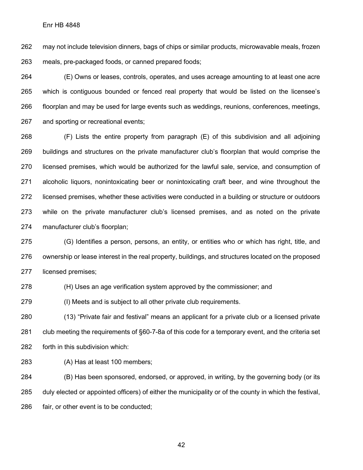may not include television dinners, bags of chips or similar products, microwavable meals, frozen meals, pre-packaged foods, or canned prepared foods;

 (E) Owns or leases, controls, operates, and uses acreage amounting to at least one acre which is contiguous bounded or fenced real property that would be listed on the licensee's floorplan and may be used for large events such as weddings, reunions, conferences, meetings, and sporting or recreational events;

 (F) Lists the entire property from paragraph (E) of this subdivision and all adjoining buildings and structures on the private manufacturer club's floorplan that would comprise the licensed premises, which would be authorized for the lawful sale, service, and consumption of alcoholic liquors, nonintoxicating beer or nonintoxicating craft beer, and wine throughout the licensed premises, whether these activities were conducted in a building or structure or outdoors while on the private manufacturer club's licensed premises, and as noted on the private manufacturer club's floorplan;

 (G) Identifies a person, persons, an entity, or entities who or which has right, title, and ownership or lease interest in the real property, buildings, and structures located on the proposed licensed premises;

(H) Uses an age verification system approved by the commissioner; and

(I) Meets and is subject to all other private club requirements.

 (13) "Private fair and festival" means an applicant for a private club or a licensed private club meeting the requirements of §60-7-8a of this code for a temporary event, and the criteria set forth in this subdivision which:

(A) Has at least 100 members;

 (B) Has been sponsored, endorsed, or approved, in writing, by the governing body (or its duly elected or appointed officers) of either the municipality or of the county in which the festival, fair, or other event is to be conducted;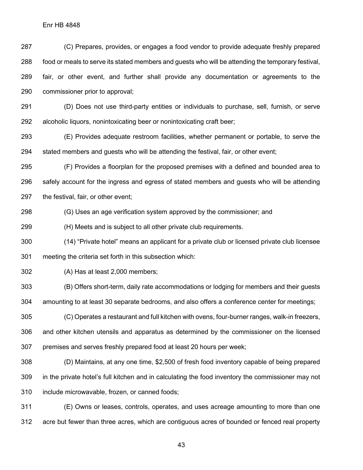(C) Prepares, provides, or engages a food vendor to provide adequate freshly prepared food or meals to serve its stated members and guests who will be attending the temporary festival, fair, or other event, and further shall provide any documentation or agreements to the commissioner prior to approval;

 (D) Does not use third-party entities or individuals to purchase, sell, furnish, or serve alcoholic liquors, nonintoxicating beer or nonintoxicating craft beer;

 (E) Provides adequate restroom facilities, whether permanent or portable, to serve the stated members and guests who will be attending the festival, fair, or other event;

 (F) Provides a floorplan for the proposed premises with a defined and bounded area to safely account for the ingress and egress of stated members and guests who will be attending the festival, fair, or other event;

(G) Uses an age verification system approved by the commissioner; and

(H) Meets and is subject to all other private club requirements.

 (14) "Private hotel" means an applicant for a private club or licensed private club licensee meeting the criteria set forth in this subsection which:

(A) Has at least 2,000 members;

 (B) Offers short-term, daily rate accommodations or lodging for members and their guests amounting to at least 30 separate bedrooms, and also offers a conference center for meetings;

 (C) Operates a restaurant and full kitchen with ovens, four-burner ranges, walk-in freezers, and other kitchen utensils and apparatus as determined by the commissioner on the licensed premises and serves freshly prepared food at least 20 hours per week;

 (D) Maintains, at any one time, \$2,500 of fresh food inventory capable of being prepared in the private hotel's full kitchen and in calculating the food inventory the commissioner may not include microwavable, frozen, or canned foods;

 (E) Owns or leases, controls, operates, and uses acreage amounting to more than one acre but fewer than three acres, which are contiguous acres of bounded or fenced real property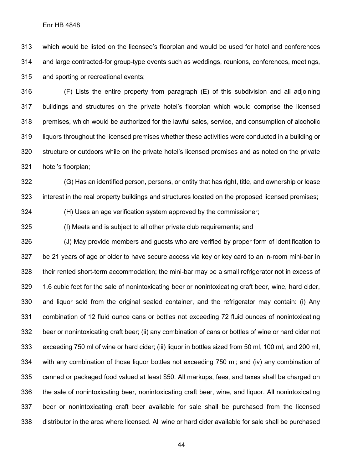which would be listed on the licensee's floorplan and would be used for hotel and conferences and large contracted-for group-type events such as weddings, reunions, conferences, meetings, and sporting or recreational events;

 (F) Lists the entire property from paragraph (E) of this subdivision and all adjoining buildings and structures on the private hotel's floorplan which would comprise the licensed premises, which would be authorized for the lawful sales, service, and consumption of alcoholic liquors throughout the licensed premises whether these activities were conducted in a building or structure or outdoors while on the private hotel's licensed premises and as noted on the private hotel's floorplan;

 (G) Has an identified person, persons, or entity that has right, title, and ownership or lease interest in the real property buildings and structures located on the proposed licensed premises;

(H) Uses an age verification system approved by the commissioner;

(I) Meets and is subject to all other private club requirements; and

 (J) May provide members and guests who are verified by proper form of identification to be 21 years of age or older to have secure access via key or key card to an in-room mini-bar in their rented short-term accommodation; the mini-bar may be a small refrigerator not in excess of 1.6 cubic feet for the sale of nonintoxicating beer or nonintoxicating craft beer, wine, hard cider, and liquor sold from the original sealed container, and the refrigerator may contain: (i) Any combination of 12 fluid ounce cans or bottles not exceeding 72 fluid ounces of nonintoxicating beer or nonintoxicating craft beer; (ii) any combination of cans or bottles of wine or hard cider not exceeding 750 ml of wine or hard cider; (iii) liquor in bottles sized from 50 ml, 100 ml, and 200 ml, with any combination of those liquor bottles not exceeding 750 ml; and (iv) any combination of canned or packaged food valued at least \$50. All markups, fees, and taxes shall be charged on the sale of nonintoxicating beer, nonintoxicating craft beer, wine, and liquor. All nonintoxicating beer or nonintoxicating craft beer available for sale shall be purchased from the licensed distributor in the area where licensed. All wine or hard cider available for sale shall be purchased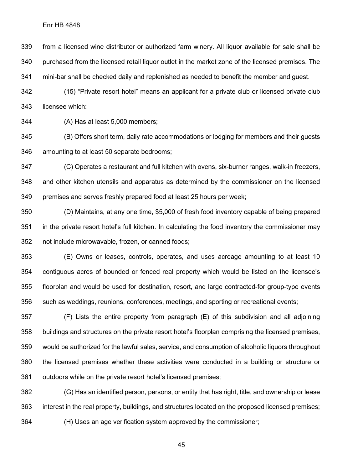from a licensed wine distributor or authorized farm winery. All liquor available for sale shall be purchased from the licensed retail liquor outlet in the market zone of the licensed premises. The mini-bar shall be checked daily and replenished as needed to benefit the member and guest.

 (15) "Private resort hotel" means an applicant for a private club or licensed private club licensee which:

(A) Has at least 5,000 members;

 (B) Offers short term, daily rate accommodations or lodging for members and their guests amounting to at least 50 separate bedrooms;

 (C) Operates a restaurant and full kitchen with ovens, six-burner ranges, walk-in freezers, and other kitchen utensils and apparatus as determined by the commissioner on the licensed premises and serves freshly prepared food at least 25 hours per week;

 (D) Maintains, at any one time, \$5,000 of fresh food inventory capable of being prepared in the private resort hotel's full kitchen. In calculating the food inventory the commissioner may not include microwavable, frozen, or canned foods;

 (E) Owns or leases, controls, operates, and uses acreage amounting to at least 10 contiguous acres of bounded or fenced real property which would be listed on the licensee's floorplan and would be used for destination, resort, and large contracted-for group-type events such as weddings, reunions, conferences, meetings, and sporting or recreational events;

 (F) Lists the entire property from paragraph (E) of this subdivision and all adjoining buildings and structures on the private resort hotel's floorplan comprising the licensed premises, would be authorized for the lawful sales, service, and consumption of alcoholic liquors throughout the licensed premises whether these activities were conducted in a building or structure or outdoors while on the private resort hotel's licensed premises;

 (G) Has an identified person, persons, or entity that has right, title, and ownership or lease interest in the real property, buildings, and structures located on the proposed licensed premises; (H) Uses an age verification system approved by the commissioner;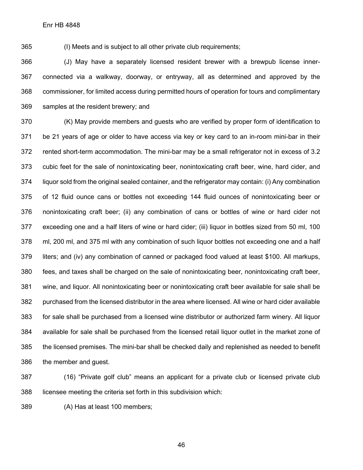(I) Meets and is subject to all other private club requirements;

 (J) May have a separately licensed resident brewer with a brewpub license inner- connected via a walkway, doorway, or entryway, all as determined and approved by the commissioner, for limited access during permitted hours of operation for tours and complimentary samples at the resident brewery; and

 (K) May provide members and guests who are verified by proper form of identification to be 21 years of age or older to have access via key or key card to an in-room mini-bar in their rented short-term accommodation. The mini-bar may be a small refrigerator not in excess of 3.2 cubic feet for the sale of nonintoxicating beer, nonintoxicating craft beer, wine, hard cider, and liquor sold from the original sealed container, and the refrigerator may contain: (i) Any combination of 12 fluid ounce cans or bottles not exceeding 144 fluid ounces of nonintoxicating beer or nonintoxicating craft beer; (ii) any combination of cans or bottles of wine or hard cider not exceeding one and a half liters of wine or hard cider; (iii) liquor in bottles sized from 50 ml, 100 ml, 200 ml, and 375 ml with any combination of such liquor bottles not exceeding one and a half liters; and (iv) any combination of canned or packaged food valued at least \$100. All markups, fees, and taxes shall be charged on the sale of nonintoxicating beer, nonintoxicating craft beer, wine, and liquor. All nonintoxicating beer or nonintoxicating craft beer available for sale shall be purchased from the licensed distributor in the area where licensed. All wine or hard cider available for sale shall be purchased from a licensed wine distributor or authorized farm winery. All liquor available for sale shall be purchased from the licensed retail liquor outlet in the market zone of the licensed premises. The mini-bar shall be checked daily and replenished as needed to benefit the member and guest.

 (16) "Private golf club" means an applicant for a private club or licensed private club licensee meeting the criteria set forth in this subdivision which:

(A) Has at least 100 members;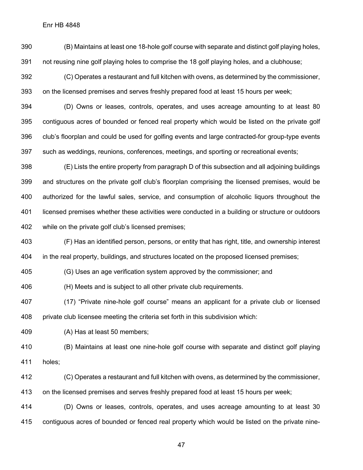(B) Maintains at least one 18-hole golf course with separate and distinct golf playing holes, not reusing nine golf playing holes to comprise the 18 golf playing holes, and a clubhouse;

 (C) Operates a restaurant and full kitchen with ovens, as determined by the commissioner, on the licensed premises and serves freshly prepared food at least 15 hours per week;

 (D) Owns or leases, controls, operates, and uses acreage amounting to at least 80 contiguous acres of bounded or fenced real property which would be listed on the private golf club's floorplan and could be used for golfing events and large contracted-for group-type events such as weddings, reunions, conferences, meetings, and sporting or recreational events;

 (E) Lists the entire property from paragraph D of this subsection and all adjoining buildings and structures on the private golf club's floorplan comprising the licensed premises, would be authorized for the lawful sales, service, and consumption of alcoholic liquors throughout the licensed premises whether these activities were conducted in a building or structure or outdoors while on the private golf club's licensed premises;

 (F) Has an identified person, persons, or entity that has right, title, and ownership interest in the real property, buildings, and structures located on the proposed licensed premises;

(G) Uses an age verification system approved by the commissioner; and

(H) Meets and is subject to all other private club requirements.

 (17) "Private nine-hole golf course" means an applicant for a private club or licensed private club licensee meeting the criteria set forth in this subdivision which:

(A) Has at least 50 members;

 (B) Maintains at least one nine-hole golf course with separate and distinct golf playing holes;

(C) Operates a restaurant and full kitchen with ovens, as determined by the commissioner,

on the licensed premises and serves freshly prepared food at least 15 hours per week;

 (D) Owns or leases, controls, operates, and uses acreage amounting to at least 30 contiguous acres of bounded or fenced real property which would be listed on the private nine-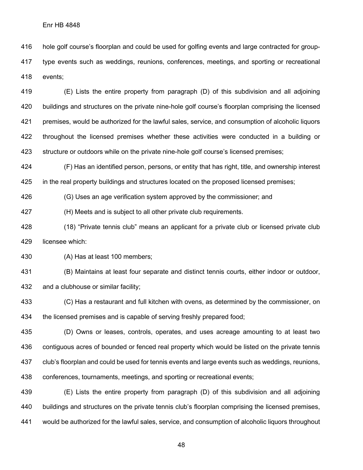hole golf course's floorplan and could be used for golfing events and large contracted for group- type events such as weddings, reunions, conferences, meetings, and sporting or recreational events;

 (E) Lists the entire property from paragraph (D) of this subdivision and all adjoining buildings and structures on the private nine-hole golf course's floorplan comprising the licensed premises, would be authorized for the lawful sales, service, and consumption of alcoholic liquors 422 throughout the licensed premises whether these activities were conducted in a building or structure or outdoors while on the private nine-hole golf course's licensed premises;

 (F) Has an identified person, persons, or entity that has right, title, and ownership interest in the real property buildings and structures located on the proposed licensed premises;

(G) Uses an age verification system approved by the commissioner; and

(H) Meets and is subject to all other private club requirements.

 (18) "Private tennis club" means an applicant for a private club or licensed private club licensee which:

(A) Has at least 100 members;

 (B) Maintains at least four separate and distinct tennis courts, either indoor or outdoor, and a clubhouse or similar facility;

 (C) Has a restaurant and full kitchen with ovens, as determined by the commissioner, on the licensed premises and is capable of serving freshly prepared food;

 (D) Owns or leases, controls, operates, and uses acreage amounting to at least two contiguous acres of bounded or fenced real property which would be listed on the private tennis club's floorplan and could be used for tennis events and large events such as weddings, reunions, conferences, tournaments, meetings, and sporting or recreational events;

 (E) Lists the entire property from paragraph (D) of this subdivision and all adjoining buildings and structures on the private tennis club's floorplan comprising the licensed premises, would be authorized for the lawful sales, service, and consumption of alcoholic liquors throughout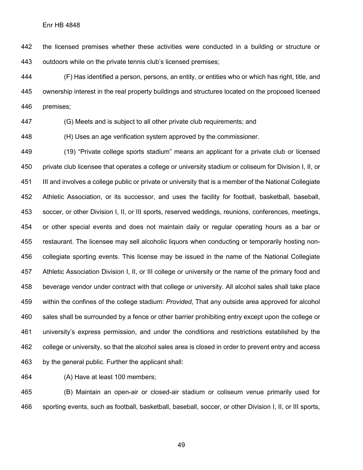the licensed premises whether these activities were conducted in a building or structure or outdoors while on the private tennis club's licensed premises;

 (F) Has identified a person, persons, an entity, or entities who or which has right, title, and ownership interest in the real property buildings and structures located on the proposed licensed premises;

(G) Meets and is subject to all other private club requirements; and

(H) Uses an age verification system approved by the commissioner.

 (19) "Private college sports stadium" means an applicant for a private club or licensed private club licensee that operates a college or university stadium or coliseum for Division I, II, or III and involves a college public or private or university that is a member of the National Collegiate Athletic Association, or its successor, and uses the facility for football, basketball, baseball, soccer, or other Division I, II, or III sports, reserved weddings, reunions, conferences, meetings, or other special events and does not maintain daily or regular operating hours as a bar or restaurant. The licensee may sell alcoholic liquors when conducting or temporarily hosting non- collegiate sporting events. This license may be issued in the name of the National Collegiate Athletic Association Division I, II, or III college or university or the name of the primary food and beverage vendor under contract with that college or university. All alcohol sales shall take place within the confines of the college stadium: *Provided*, That any outside area approved for alcohol sales shall be surrounded by a fence or other barrier prohibiting entry except upon the college or university's express permission, and under the conditions and restrictions established by the college or university, so that the alcohol sales area is closed in order to prevent entry and access by the general public. Further the applicant shall:

(A) Have at least 100 members;

 (B) Maintain an open-air or closed-air stadium or coliseum venue primarily used for sporting events, such as football, basketball, baseball, soccer, or other Division I, II, or III sports,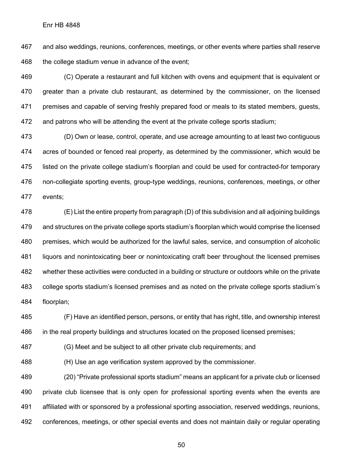and also weddings, reunions, conferences, meetings, or other events where parties shall reserve the college stadium venue in advance of the event;

 (C) Operate a restaurant and full kitchen with ovens and equipment that is equivalent or greater than a private club restaurant, as determined by the commissioner, on the licensed premises and capable of serving freshly prepared food or meals to its stated members, guests, and patrons who will be attending the event at the private college sports stadium;

 (D) Own or lease, control, operate, and use acreage amounting to at least two contiguous acres of bounded or fenced real property, as determined by the commissioner, which would be listed on the private college stadium's floorplan and could be used for contracted-for temporary non-collegiate sporting events, group-type weddings, reunions, conferences, meetings, or other events;

 (E) List the entire property from paragraph (D) of this subdivision and all adjoining buildings and structures on the private college sports stadium's floorplan which would comprise the licensed premises, which would be authorized for the lawful sales, service, and consumption of alcoholic liquors and nonintoxicating beer or nonintoxicating craft beer throughout the licensed premises whether these activities were conducted in a building or structure or outdoors while on the private college sports stadium's licensed premises and as noted on the private college sports stadium's floorplan;

 (F) Have an identified person, persons, or entity that has right, title, and ownership interest in the real property buildings and structures located on the proposed licensed premises;

(G) Meet and be subject to all other private club requirements; and

(H) Use an age verification system approved by the commissioner.

 (20) "Private professional sports stadium" means an applicant for a private club or licensed private club licensee that is only open for professional sporting events when the events are affiliated with or sponsored by a professional sporting association, reserved weddings, reunions, conferences, meetings, or other special events and does not maintain daily or regular operating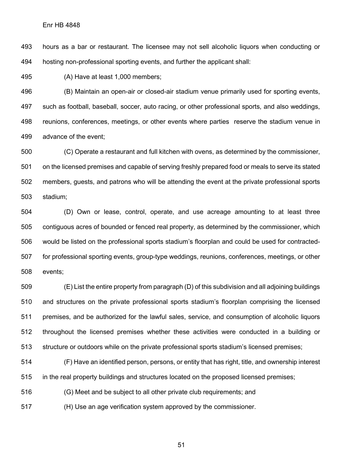hours as a bar or restaurant. The licensee may not sell alcoholic liquors when conducting or hosting non-professional sporting events, and further the applicant shall:

(A) Have at least 1,000 members;

 (B) Maintain an open-air or closed-air stadium venue primarily used for sporting events, such as football, baseball, soccer, auto racing, or other professional sports, and also weddings, reunions, conferences, meetings, or other events where parties reserve the stadium venue in advance of the event;

 (C) Operate a restaurant and full kitchen with ovens, as determined by the commissioner, on the licensed premises and capable of serving freshly prepared food or meals to serve its stated members, guests, and patrons who will be attending the event at the private professional sports stadium;

 (D) Own or lease, control, operate, and use acreage amounting to at least three contiguous acres of bounded or fenced real property, as determined by the commissioner, which would be listed on the professional sports stadium's floorplan and could be used for contracted- for professional sporting events, group-type weddings, reunions, conferences, meetings, or other events;

 (E) List the entire property from paragraph (D) of this subdivision and all adjoining buildings and structures on the private professional sports stadium's floorplan comprising the licensed premises, and be authorized for the lawful sales, service, and consumption of alcoholic liquors throughout the licensed premises whether these activities were conducted in a building or structure or outdoors while on the private professional sports stadium's licensed premises;

 (F) Have an identified person, persons, or entity that has right, title, and ownership interest in the real property buildings and structures located on the proposed licensed premises;

(G) Meet and be subject to all other private club requirements; and

(H) Use an age verification system approved by the commissioner.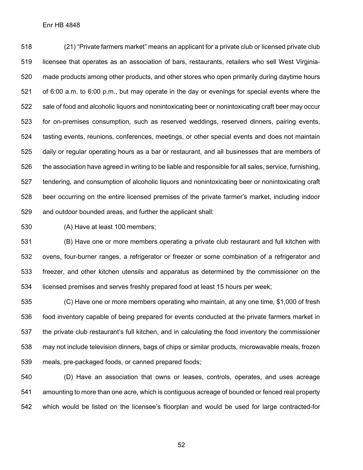(21) "Private farmers market" means an applicant for a private club or licensed private club licensee that operates as an association of bars, restaurants, retailers who sell West Virginia- made products among other products, and other stores who open primarily during daytime hours of 6:00 a.m. to 6:00 p.m., but may operate in the day or evenings for special events where the sale of food and alcoholic liquors and nonintoxicating beer or nonintoxicating craft beer may occur for on-premises consumption, such as reserved weddings, reserved dinners, pairing events, tasting events, reunions, conferences, meetings, or other special events and does not maintain daily or regular operating hours as a bar or restaurant, and all businesses that are members of the association have agreed in writing to be liable and responsible for all sales, service, furnishing, tendering, and consumption of alcoholic liquors and nonintoxicating beer or nonintoxicating craft beer occurring on the entire licensed premises of the private farmer's market, including indoor and outdoor bounded areas, and further the applicant shall:

(A) Have at least 100 members;

 (B) Have one or more members operating a private club restaurant and full kitchen with ovens, four-burner ranges, a refrigerator or freezer or some combination of a refrigerator and freezer, and other kitchen utensils and apparatus as determined by the commissioner on the licensed premises and serves freshly prepared food at least 15 hours per week;

 (C) Have one or more members operating who maintain, at any one time, \$1,000 of fresh food inventory capable of being prepared for events conducted at the private farmers market in the private club restaurant's full kitchen, and in calculating the food inventory the commissioner may not include television dinners, bags of chips or similar products, microwavable meals, frozen meals, pre-packaged foods, or canned prepared foods;

 (D) Have an association that owns or leases, controls, operates, and uses acreage amounting to more than one acre, which is contiguous acreage of bounded or fenced real property which would be listed on the licensee's floorplan and would be used for large contracted-for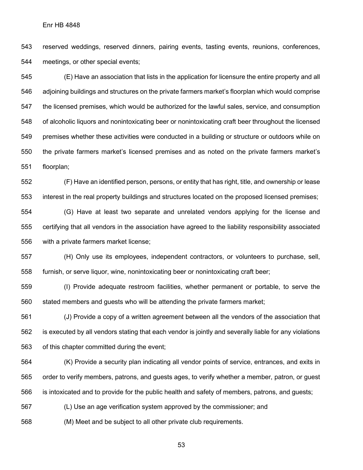reserved weddings, reserved dinners, pairing events, tasting events, reunions, conferences, meetings, or other special events;

 (E) Have an association that lists in the application for licensure the entire property and all adjoining buildings and structures on the private farmers market's floorplan which would comprise the licensed premises, which would be authorized for the lawful sales, service, and consumption of alcoholic liquors and nonintoxicating beer or nonintoxicating craft beer throughout the licensed premises whether these activities were conducted in a building or structure or outdoors while on the private farmers market's licensed premises and as noted on the private farmers market's floorplan;

 (F) Have an identified person, persons, or entity that has right, title, and ownership or lease interest in the real property buildings and structures located on the proposed licensed premises;

 (G) Have at least two separate and unrelated vendors applying for the license and certifying that all vendors in the association have agreed to the liability responsibility associated with a private farmers market license;

 (H) Only use its employees, independent contractors, or volunteers to purchase, sell, furnish, or serve liquor, wine, nonintoxicating beer or nonintoxicating craft beer;

 (I) Provide adequate restroom facilities, whether permanent or portable, to serve the stated members and guests who will be attending the private farmers market;

 (J) Provide a copy of a written agreement between all the vendors of the association that is executed by all vendors stating that each vendor is jointly and severally liable for any violations of this chapter committed during the event;

 (K) Provide a security plan indicating all vendor points of service, entrances, and exits in order to verify members, patrons, and guests ages, to verify whether a member, patron, or guest is intoxicated and to provide for the public health and safety of members, patrons, and guests;

(L) Use an age verification system approved by the commissioner; and

(M) Meet and be subject to all other private club requirements.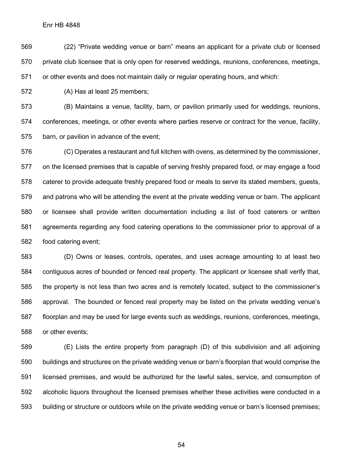(22) "Private wedding venue or barn" means an applicant for a private club or licensed private club licensee that is only open for reserved weddings, reunions, conferences, meetings, or other events and does not maintain daily or regular operating hours, and which:

(A) Has at least 25 members;

 (B) Maintains a venue, facility, barn, or pavilion primarily used for weddings, reunions, conferences, meetings, or other events where parties reserve or contract for the venue, facility, barn, or pavilion in advance of the event;

 (C) Operates a restaurant and full kitchen with ovens, as determined by the commissioner, on the licensed premises that is capable of serving freshly prepared food, or may engage a food caterer to provide adequate freshly prepared food or meals to serve its stated members, guests, and patrons who will be attending the event at the private wedding venue or barn. The applicant or licensee shall provide written documentation including a list of food caterers or written agreements regarding any food catering operations to the commissioner prior to approval of a food catering event;

 (D) Owns or leases, controls, operates, and uses acreage amounting to at least two contiguous acres of bounded or fenced real property. The applicant or licensee shall verify that, the property is not less than two acres and is remotely located, subject to the commissioner's approval. The bounded or fenced real property may be listed on the private wedding venue's floorplan and may be used for large events such as weddings, reunions, conferences, meetings, or other events;

 (E) Lists the entire property from paragraph (D) of this subdivision and all adjoining buildings and structures on the private wedding venue or barn's floorplan that would comprise the licensed premises, and would be authorized for the lawful sales, service, and consumption of alcoholic liquors throughout the licensed premises whether these activities were conducted in a building or structure or outdoors while on the private wedding venue or barn's licensed premises;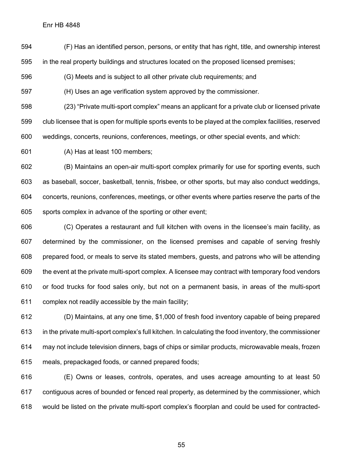(F) Has an identified person, persons, or entity that has right, title, and ownership interest in the real property buildings and structures located on the proposed licensed premises;

(G) Meets and is subject to all other private club requirements; and

(H) Uses an age verification system approved by the commissioner.

 (23) "Private multi-sport complex" means an applicant for a private club or licensed private club licensee that is open for multiple sports events to be played at the complex facilities, reserved weddings, concerts, reunions, conferences, meetings, or other special events, and which:

(A) Has at least 100 members;

 (B) Maintains an open-air multi-sport complex primarily for use for sporting events, such as baseball, soccer, basketball, tennis, frisbee, or other sports, but may also conduct weddings, concerts, reunions, conferences, meetings, or other events where parties reserve the parts of the sports complex in advance of the sporting or other event;

 (C) Operates a restaurant and full kitchen with ovens in the licensee's main facility, as determined by the commissioner, on the licensed premises and capable of serving freshly prepared food, or meals to serve its stated members, guests, and patrons who will be attending the event at the private multi-sport complex. A licensee may contract with temporary food vendors or food trucks for food sales only, but not on a permanent basis, in areas of the multi-sport complex not readily accessible by the main facility;

 (D) Maintains, at any one time, \$1,000 of fresh food inventory capable of being prepared in the private multi-sport complex's full kitchen. In calculating the food inventory, the commissioner may not include television dinners, bags of chips or similar products, microwavable meals, frozen meals, prepackaged foods, or canned prepared foods;

 (E) Owns or leases, controls, operates, and uses acreage amounting to at least 50 contiguous acres of bounded or fenced real property, as determined by the commissioner, which would be listed on the private multi-sport complex's floorplan and could be used for contracted-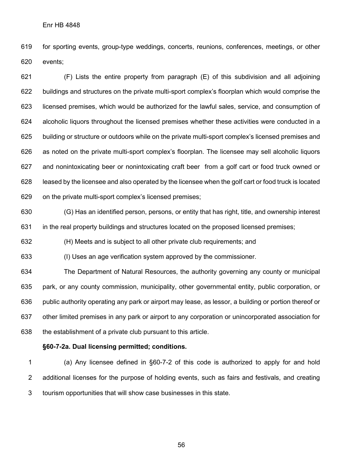for sporting events, group-type weddings, concerts, reunions, conferences, meetings, or other events;

 (F) Lists the entire property from paragraph (E) of this subdivision and all adjoining buildings and structures on the private multi-sport complex's floorplan which would comprise the licensed premises, which would be authorized for the lawful sales, service, and consumption of alcoholic liquors throughout the licensed premises whether these activities were conducted in a building or structure or outdoors while on the private multi-sport complex's licensed premises and as noted on the private multi-sport complex's floorplan. The licensee may sell alcoholic liquors and nonintoxicating beer or nonintoxicating craft beer from a golf cart or food truck owned or leased by the licensee and also operated by the licensee when the golf cart or food truck is located on the private multi-sport complex's licensed premises;

 (G) Has an identified person, persons, or entity that has right, title, and ownership interest in the real property buildings and structures located on the proposed licensed premises;

(H) Meets and is subject to all other private club requirements; and

(I) Uses an age verification system approved by the commissioner.

 The Department of Natural Resources, the authority governing any county or municipal park, or any county commission, municipality, other governmental entity, public corporation, or public authority operating any park or airport may lease, as lessor, a building or portion thereof or other limited premises in any park or airport to any corporation or unincorporated association for the establishment of a private club pursuant to this article.

## **§60-7-2a. Dual licensing permitted; conditions.**

 (a) Any licensee defined in §60-7-2 of this code is authorized to apply for and hold additional licenses for the purpose of holding events, such as fairs and festivals, and creating tourism opportunities that will show case businesses in this state.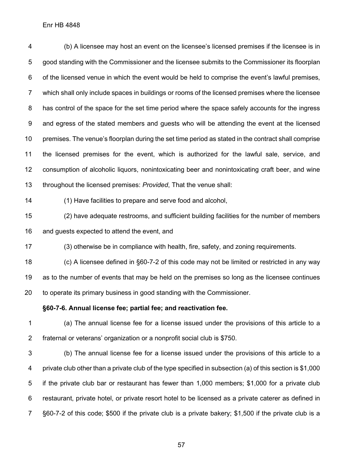(b) A licensee may host an event on the licensee's licensed premises if the licensee is in good standing with the Commissioner and the licensee submits to the Commissioner its floorplan of the licensed venue in which the event would be held to comprise the event's lawful premises, which shall only include spaces in buildings or rooms of the licensed premises where the licensee has control of the space for the set time period where the space safely accounts for the ingress and egress of the stated members and guests who will be attending the event at the licensed premises. The venue's floorplan during the set time period as stated in the contract shall comprise the licensed premises for the event, which is authorized for the lawful sale, service, and consumption of alcoholic liquors, nonintoxicating beer and nonintoxicating craft beer, and wine throughout the licensed premises: *Provided*, That the venue shall:

(1) Have facilities to prepare and serve food and alcohol,

 (2) have adequate restrooms, and sufficient building facilities for the number of members and guests expected to attend the event, and

(3) otherwise be in compliance with health, fire, safety, and zoning requirements.

 (c) A licensee defined in §60-7-2 of this code may not be limited or restricted in any way as to the number of events that may be held on the premises so long as the licensee continues to operate its primary business in good standing with the Commissioner.

**§60-7-6. Annual license fee; partial fee; and reactivation fee.**

 (a) The annual license fee for a license issued under the provisions of this article to a fraternal or veterans' organization or a nonprofit social club is \$750.

 (b) The annual license fee for a license issued under the provisions of this article to a private club other than a private club of the type specified in subsection (a) of this section is \$1,000 if the private club bar or restaurant has fewer than 1,000 members; \$1,000 for a private club restaurant, private hotel, or private resort hotel to be licensed as a private caterer as defined in §60-7-2 of this code; \$500 if the private club is a private bakery; \$1,500 if the private club is a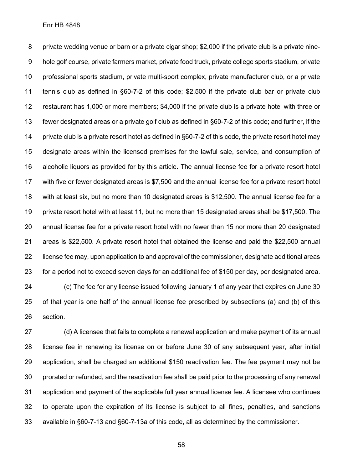private wedding venue or barn or a private cigar shop; \$2,000 if the private club is a private nine- hole golf course, private farmers market, private food truck, private college sports stadium, private professional sports stadium, private multi-sport complex, private manufacturer club, or a private tennis club as defined in §60-7-2 of this code; \$2,500 if the private club bar or private club restaurant has 1,000 or more members; \$4,000 if the private club is a private hotel with three or fewer designated areas or a private golf club as defined in §60-7-2 of this code; and further, if the 14 private club is a private resort hotel as defined in §60-7-2 of this code, the private resort hotel may designate areas within the licensed premises for the lawful sale, service, and consumption of alcoholic liquors as provided for by this article. The annual license fee for a private resort hotel with five or fewer designated areas is \$7,500 and the annual license fee for a private resort hotel with at least six, but no more than 10 designated areas is \$12,500. The annual license fee for a private resort hotel with at least 11, but no more than 15 designated areas shall be \$17,500. The annual license fee for a private resort hotel with no fewer than 15 nor more than 20 designated areas is \$22,500. A private resort hotel that obtained the license and paid the \$22,500 annual license fee may, upon application to and approval of the commissioner, designate additional areas for a period not to exceed seven days for an additional fee of \$150 per day, per designated area. (c) The fee for any license issued following January 1 of any year that expires on June 30 of that year is one half of the annual license fee prescribed by subsections (a) and (b) of this

section.

 (d) A licensee that fails to complete a renewal application and make payment of its annual license fee in renewing its license on or before June 30 of any subsequent year, after initial application, shall be charged an additional \$150 reactivation fee. The fee payment may not be prorated or refunded, and the reactivation fee shall be paid prior to the processing of any renewal application and payment of the applicable full year annual license fee. A licensee who continues to operate upon the expiration of its license is subject to all fines, penalties, and sanctions available in §60-7-13 and §60-7-13a of this code, all as determined by the commissioner.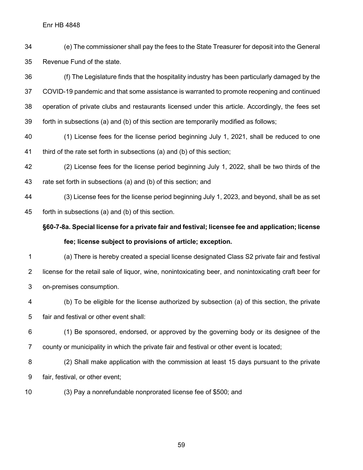(e) The commissioner shall pay the fees to the State Treasurer for deposit into the General Revenue Fund of the state.

 (f) The Legislature finds that the hospitality industry has been particularly damaged by the COVID-19 pandemic and that some assistance is warranted to promote reopening and continued operation of private clubs and restaurants licensed under this article. Accordingly, the fees set forth in subsections (a) and (b) of this section are temporarily modified as follows;

 (1) License fees for the license period beginning July 1, 2021, shall be reduced to one third of the rate set forth in subsections (a) and (b) of this section;

 (2) License fees for the license period beginning July 1, 2022, shall be two thirds of the rate set forth in subsections (a) and (b) of this section; and

 (3) License fees for the license period beginning July 1, 2023, and beyond, shall be as set forth in subsections (a) and (b) of this section.

**§60-7-8a. Special license for a private fair and festival; licensee fee and application; license fee; license subject to provisions of article; exception.**

 (a) There is hereby created a special license designated Class S2 private fair and festival license for the retail sale of liquor, wine, nonintoxicating beer, and nonintoxicating craft beer for on-premises consumption.

 (b) To be eligible for the license authorized by subsection (a) of this section, the private fair and festival or other event shall:

 (1) Be sponsored, endorsed, or approved by the governing body or its designee of the county or municipality in which the private fair and festival or other event is located;

 (2) Shall make application with the commission at least 15 days pursuant to the private fair, festival, or other event;

(3) Pay a nonrefundable nonprorated license fee of \$500; and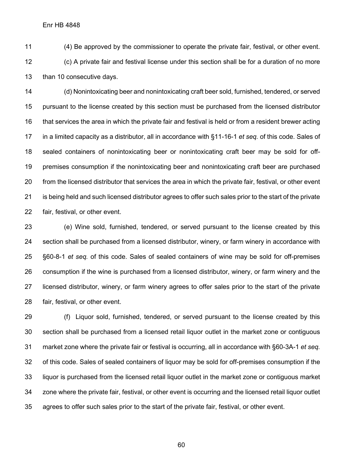(4) Be approved by the commissioner to operate the private fair, festival, or other event. (c) A private fair and festival license under this section shall be for a duration of no more than 10 consecutive days.

 (d) Nonintoxicating beer and nonintoxicating craft beer sold, furnished, tendered, or served pursuant to the license created by this section must be purchased from the licensed distributor that services the area in which the private fair and festival is held or from a resident brewer acting in a limited capacity as a distributor, all in accordance with §11-16-1 *et seq.* of this code. Sales of sealed containers of nonintoxicating beer or nonintoxicating craft beer may be sold for off- premises consumption if the nonintoxicating beer and nonintoxicating craft beer are purchased from the licensed distributor that services the area in which the private fair, festival, or other event is being held and such licensed distributor agrees to offer such sales prior to the start of the private fair, festival, or other event.

 (e) Wine sold, furnished, tendered, or served pursuant to the license created by this section shall be purchased from a licensed distributor, winery, or farm winery in accordance with §60-8-1 *et seq.* of this code. Sales of sealed containers of wine may be sold for off-premises consumption if the wine is purchased from a licensed distributor, winery, or farm winery and the licensed distributor, winery, or farm winery agrees to offer sales prior to the start of the private fair, festival, or other event.

 (f) Liquor sold, furnished, tendered, or served pursuant to the license created by this section shall be purchased from a licensed retail liquor outlet in the market zone or contiguous market zone where the private fair or festival is occurring, all in accordance with §60-3A-1 *et seq.*  of this code. Sales of sealed containers of liquor may be sold for off-premises consumption if the liquor is purchased from the licensed retail liquor outlet in the market zone or contiguous market zone where the private fair, festival, or other event is occurring and the licensed retail liquor outlet agrees to offer such sales prior to the start of the private fair, festival, or other event.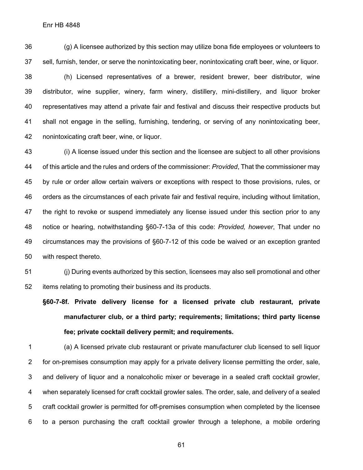(g) A licensee authorized by this section may utilize bona fide employees or volunteers to sell, furnish, tender, or serve the nonintoxicating beer, nonintoxicating craft beer, wine, or liquor. (h) Licensed representatives of a brewer, resident brewer, beer distributor, wine distributor, wine supplier, winery, farm winery, distillery, mini-distillery, and liquor broker representatives may attend a private fair and festival and discuss their respective products but shall not engage in the selling, furnishing, tendering, or serving of any nonintoxicating beer, nonintoxicating craft beer, wine, or liquor.

 (i) A license issued under this section and the licensee are subject to all other provisions of this article and the rules and orders of the commissioner: *Provided*, That the commissioner may by rule or order allow certain waivers or exceptions with respect to those provisions, rules, or orders as the circumstances of each private fair and festival require, including without limitation, the right to revoke or suspend immediately any license issued under this section prior to any notice or hearing, notwithstanding §60-7-13a of this code: *Provided, however*, That under no circumstances may the provisions of §60-7-12 of this code be waived or an exception granted with respect thereto.

 (j) During events authorized by this section, licensees may also sell promotional and other items relating to promoting their business and its products.

**§60-7-8f. Private delivery license for a licensed private club restaurant, private manufacturer club, or a third party; requirements; limitations; third party license fee; private cocktail delivery permit; and requirements.**

 (a) A licensed private club restaurant or private manufacturer club licensed to sell liquor for on-premises consumption may apply for a private delivery license permitting the order, sale, and delivery of liquor and a nonalcoholic mixer or beverage in a sealed craft cocktail growler, when separately licensed for craft cocktail growler sales. The order, sale, and delivery of a sealed craft cocktail growler is permitted for off-premises consumption when completed by the licensee to a person purchasing the craft cocktail growler through a telephone, a mobile ordering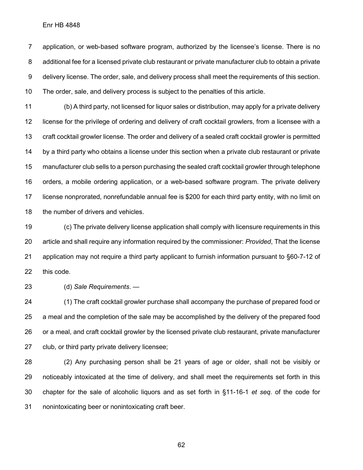application, or web-based software program, authorized by the licensee's license. There is no additional fee for a licensed private club restaurant or private manufacturer club to obtain a private delivery license. The order, sale, and delivery process shall meet the requirements of this section. The order, sale, and delivery process is subject to the penalties of this article.

 (b) A third party, not licensed for liquor sales or distribution, may apply for a private delivery license for the privilege of ordering and delivery of craft cocktail growlers, from a licensee with a craft cocktail growler license. The order and delivery of a sealed craft cocktail growler is permitted by a third party who obtains a license under this section when a private club restaurant or private manufacturer club sells to a person purchasing the sealed craft cocktail growler through telephone orders, a mobile ordering application, or a web-based software program. The private delivery license nonprorated, nonrefundable annual fee is \$200 for each third party entity, with no limit on 18 the number of drivers and vehicles.

 (c) The private delivery license application shall comply with licensure requirements in this article and shall require any information required by the commissioner: *Provided*, That the license application may not require a third party applicant to furnish information pursuant to §60-7-12 of this code.

(d) *Sale Requirements*. —

 (1) The craft cocktail growler purchase shall accompany the purchase of prepared food or a meal and the completion of the sale may be accomplished by the delivery of the prepared food or a meal, and craft cocktail growler by the licensed private club restaurant, private manufacturer club, or third party private delivery licensee;

 (2) Any purchasing person shall be 21 years of age or older, shall not be visibly or noticeably intoxicated at the time of delivery, and shall meet the requirements set forth in this chapter for the sale of alcoholic liquors and as set forth in §11-16-1 *et seq.* of the code for nonintoxicating beer or nonintoxicating craft beer.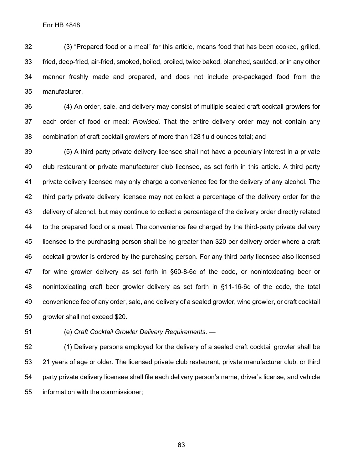(3) "Prepared food or a meal" for this article, means food that has been cooked, grilled, fried, deep-fried, air-fried, smoked, boiled, broiled, twice baked, blanched, sautéed, or in any other manner freshly made and prepared, and does not include pre-packaged food from the manufacturer.

 (4) An order, sale, and delivery may consist of multiple sealed craft cocktail growlers for each order of food or meal: *Provided*, That the entire delivery order may not contain any combination of craft cocktail growlers of more than 128 fluid ounces total; and

 (5) A third party private delivery licensee shall not have a pecuniary interest in a private club restaurant or private manufacturer club licensee, as set forth in this article. A third party private delivery licensee may only charge a convenience fee for the delivery of any alcohol. The third party private delivery licensee may not collect a percentage of the delivery order for the delivery of alcohol, but may continue to collect a percentage of the delivery order directly related to the prepared food or a meal. The convenience fee charged by the third-party private delivery licensee to the purchasing person shall be no greater than \$20 per delivery order where a craft cocktail growler is ordered by the purchasing person. For any third party licensee also licensed for wine growler delivery as set forth in §60-8-6c of the code, or nonintoxicating beer or nonintoxicating craft beer growler delivery as set forth in §11-16-6d of the code, the total convenience fee of any order, sale, and delivery of a sealed growler, wine growler, or craft cocktail growler shall not exceed \$20.

(e) *Craft Cocktail Growler Delivery Requirements*. —

 (1) Delivery persons employed for the delivery of a sealed craft cocktail growler shall be 21 years of age or older. The licensed private club restaurant, private manufacturer club, or third party private delivery licensee shall file each delivery person's name, driver's license, and vehicle information with the commissioner;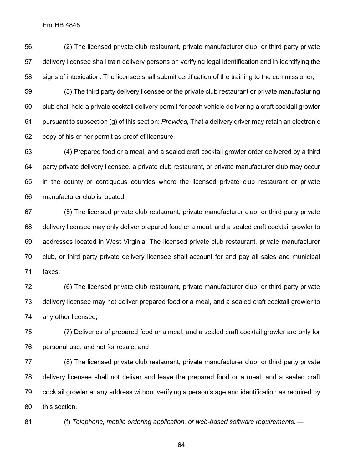(2) The licensed private club restaurant, private manufacturer club, or third party private delivery licensee shall train delivery persons on verifying legal identification and in identifying the signs of intoxication. The licensee shall submit certification of the training to the commissioner;

 (3) The third party delivery licensee or the private club restaurant or private manufacturing club shall hold a private cocktail delivery permit for each vehicle delivering a craft cocktail growler pursuant to subsection (g) of this section: *Provided*, That a delivery driver may retain an electronic copy of his or her permit as proof of licensure.

 (4) Prepared food or a meal, and a sealed craft cocktail growler order delivered by a third party private delivery licensee, a private club restaurant, or private manufacturer club may occur in the county or contiguous counties where the licensed private club restaurant or private manufacturer club is located;

 (5) The licensed private club restaurant, private manufacturer club, or third party private delivery licensee may only deliver prepared food or a meal, and a sealed craft cocktail growler to addresses located in West Virginia. The licensed private club restaurant, private manufacturer club, or third party private delivery licensee shall account for and pay all sales and municipal taxes;

 (6) The licensed private club restaurant, private manufacturer club, or third party private delivery licensee may not deliver prepared food or a meal, and a sealed craft cocktail growler to any other licensee;

 (7) Deliveries of prepared food or a meal, and a sealed craft cocktail growler are only for personal use, and not for resale; and

 (8) The licensed private club restaurant, private manufacturer club, or third party private delivery licensee shall not deliver and leave the prepared food or a meal, and a sealed craft cocktail growler at any address without verifying a person's age and identification as required by this section.

(f) *Telephone, mobile ordering application, or web-based software requirements*. —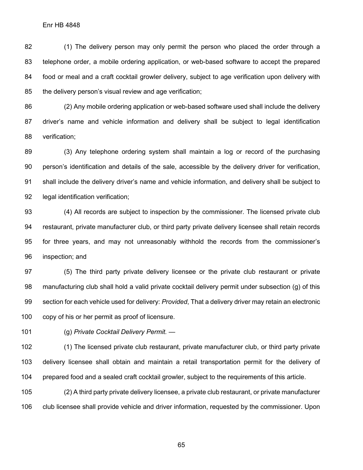(1) The delivery person may only permit the person who placed the order through a telephone order, a mobile ordering application, or web-based software to accept the prepared food or meal and a craft cocktail growler delivery, subject to age verification upon delivery with the delivery person's visual review and age verification;

 (2) Any mobile ordering application or web-based software used shall include the delivery driver's name and vehicle information and delivery shall be subject to legal identification verification;

 (3) Any telephone ordering system shall maintain a log or record of the purchasing person's identification and details of the sale, accessible by the delivery driver for verification, shall include the delivery driver's name and vehicle information, and delivery shall be subject to legal identification verification;

 (4) All records are subject to inspection by the commissioner. The licensed private club restaurant, private manufacturer club, or third party private delivery licensee shall retain records for three years, and may not unreasonably withhold the records from the commissioner's inspection; and

 (5) The third party private delivery licensee or the private club restaurant or private manufacturing club shall hold a valid private cocktail delivery permit under subsection (g) of this section for each vehicle used for delivery: *Provided*, That a delivery driver may retain an electronic copy of his or her permit as proof of licensure.

(g) *Private Cocktail Delivery Permit.* —

 (1) The licensed private club restaurant, private manufacturer club, or third party private delivery licensee shall obtain and maintain a retail transportation permit for the delivery of prepared food and a sealed craft cocktail growler, subject to the requirements of this article.

 (2) A third party private delivery licensee, a private club restaurant, or private manufacturer club licensee shall provide vehicle and driver information, requested by the commissioner. Upon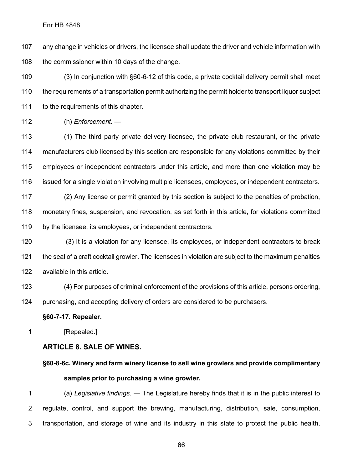any change in vehicles or drivers, the licensee shall update the driver and vehicle information with the commissioner within 10 days of the change.

 (3) In conjunction with §60-6-12 of this code, a private cocktail delivery permit shall meet the requirements of a transportation permit authorizing the permit holder to transport liquor subject 111 to the requirements of this chapter.

(h) *Enforcement.* —

 (1) The third party private delivery licensee, the private club restaurant, or the private manufacturers club licensed by this section are responsible for any violations committed by their employees or independent contractors under this article, and more than one violation may be issued for a single violation involving multiple licensees, employees, or independent contractors.

 (2) Any license or permit granted by this section is subject to the penalties of probation, monetary fines, suspension, and revocation, as set forth in this article, for violations committed by the licensee, its employees, or independent contractors.

 (3) It is a violation for any licensee, its employees, or independent contractors to break the seal of a craft cocktail growler. The licensees in violation are subject to the maximum penalties available in this article.

 (4) For purposes of criminal enforcement of the provisions of this article, persons ordering, purchasing, and accepting delivery of orders are considered to be purchasers.

## **§60-7-17. Repealer.**

**[Repealed.]** 

# **ARTICLE 8. SALE OF WINES.**

**§60-8-6c. Winery and farm winery license to sell wine growlers and provide complimentary samples prior to purchasing a wine growler.**

 (a) *Legislative findings*. — The Legislature hereby finds that it is in the public interest to regulate, control, and support the brewing, manufacturing, distribution, sale, consumption, transportation, and storage of wine and its industry in this state to protect the public health,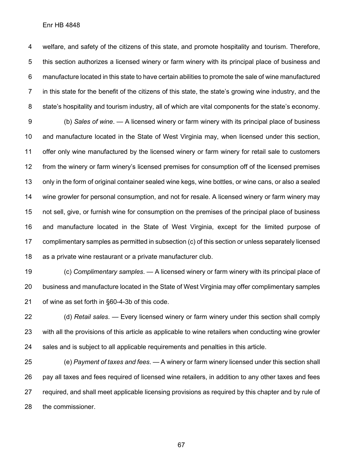welfare, and safety of the citizens of this state, and promote hospitality and tourism. Therefore, this section authorizes a licensed winery or farm winery with its principal place of business and manufacture located in this state to have certain abilities to promote the sale of wine manufactured in this state for the benefit of the citizens of this state, the state's growing wine industry, and the state's hospitality and tourism industry, all of which are vital components for the state's economy.

 (b) *Sales of wine*. — A licensed winery or farm winery with its principal place of business and manufacture located in the State of West Virginia may, when licensed under this section, offer only wine manufactured by the licensed winery or farm winery for retail sale to customers from the winery or farm winery's licensed premises for consumption off of the licensed premises only in the form of original container sealed wine kegs, wine bottles, or wine cans, or also a sealed wine growler for personal consumption, and not for resale. A licensed winery or farm winery may not sell, give, or furnish wine for consumption on the premises of the principal place of business and manufacture located in the State of West Virginia, except for the limited purpose of complimentary samples as permitted in subsection (c) of this section or unless separately licensed as a private wine restaurant or a private manufacturer club.

 (c) *Complimentary samples*. — A licensed winery or farm winery with its principal place of business and manufacture located in the State of West Virginia may offer complimentary samples of wine as set forth in §60-4-3b of this code.

 (d) *Retail sales*. — Every licensed winery or farm winery under this section shall comply with all the provisions of this article as applicable to wine retailers when conducting wine growler sales and is subject to all applicable requirements and penalties in this article.

 (e) *Payment of taxes and fees*. — A winery or farm winery licensed under this section shall pay all taxes and fees required of licensed wine retailers, in addition to any other taxes and fees required, and shall meet applicable licensing provisions as required by this chapter and by rule of the commissioner.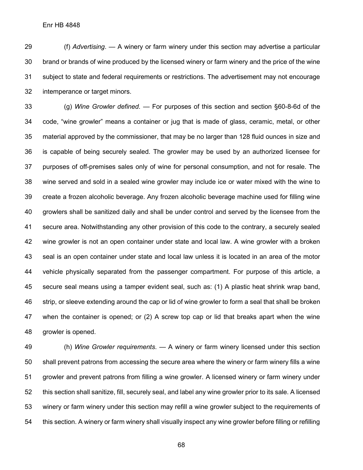(f) *Advertising*. — A winery or farm winery under this section may advertise a particular brand or brands of wine produced by the licensed winery or farm winery and the price of the wine subject to state and federal requirements or restrictions. The advertisement may not encourage intemperance or target minors.

 (g) *Wine Growler defined*. — For purposes of this section and section §60-8-6d of the code, "wine growler" means a container or jug that is made of glass, ceramic, metal, or other material approved by the commissioner, that may be no larger than 128 fluid ounces in size and is capable of being securely sealed. The growler may be used by an authorized licensee for purposes of off-premises sales only of wine for personal consumption, and not for resale. The wine served and sold in a sealed wine growler may include ice or water mixed with the wine to create a frozen alcoholic beverage. Any frozen alcoholic beverage machine used for filling wine growlers shall be sanitized daily and shall be under control and served by the licensee from the secure area. Notwithstanding any other provision of this code to the contrary, a securely sealed wine growler is not an open container under state and local law. A wine growler with a broken seal is an open container under state and local law unless it is located in an area of the motor vehicle physically separated from the passenger compartment. For purpose of this article, a secure seal means using a tamper evident seal, such as: (1) A plastic heat shrink wrap band, strip, or sleeve extending around the cap or lid of wine growler to form a seal that shall be broken when the container is opened; or (2) A screw top cap or lid that breaks apart when the wine growler is opened.

 (h) *Wine Growler requirements*. — A winery or farm winery licensed under this section shall prevent patrons from accessing the secure area where the winery or farm winery fills a wine growler and prevent patrons from filling a wine growler. A licensed winery or farm winery under this section shall sanitize, fill, securely seal, and label any wine growler prior to its sale. A licensed winery or farm winery under this section may refill a wine growler subject to the requirements of this section. A winery or farm winery shall visually inspect any wine growler before filling or refilling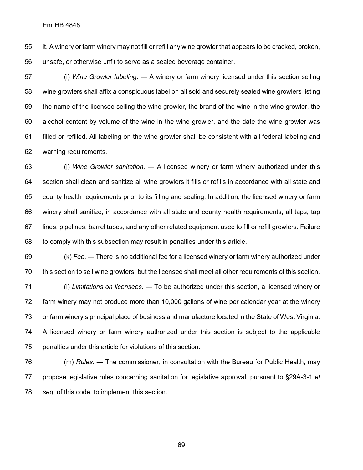it. A winery or farm winery may not fill or refill any wine growler that appears to be cracked, broken, unsafe, or otherwise unfit to serve as a sealed beverage container.

 (i) *Wine Growler labeling*. — A winery or farm winery licensed under this section selling wine growlers shall affix a conspicuous label on all sold and securely sealed wine growlers listing the name of the licensee selling the wine growler, the brand of the wine in the wine growler, the alcohol content by volume of the wine in the wine growler, and the date the wine growler was filled or refilled. All labeling on the wine growler shall be consistent with all federal labeling and warning requirements.

 (j) *Wine Growler sanitation*. — A licensed winery or farm winery authorized under this section shall clean and sanitize all wine growlers it fills or refills in accordance with all state and county health requirements prior to its filling and sealing. In addition, the licensed winery or farm winery shall sanitize, in accordance with all state and county health requirements, all taps, tap lines, pipelines, barrel tubes, and any other related equipment used to fill or refill growlers. Failure to comply with this subsection may result in penalties under this article.

 (k) *Fee*. — There is no additional fee for a licensed winery or farm winery authorized under this section to sell wine growlers, but the licensee shall meet all other requirements of this section. (l) *Limitations on licensees*. — To be authorized under this section, a licensed winery or

 farm winery may not produce more than 10,000 gallons of wine per calendar year at the winery or farm winery's principal place of business and manufacture located in the State of West Virginia. A licensed winery or farm winery authorized under this section is subject to the applicable penalties under this article for violations of this section.

 (m) *Rules*. — The commissioner, in consultation with the Bureau for Public Health, may propose legislative rules concerning sanitation for legislative approval, pursuant to §29A-3-1 *et seq.* of this code, to implement this section.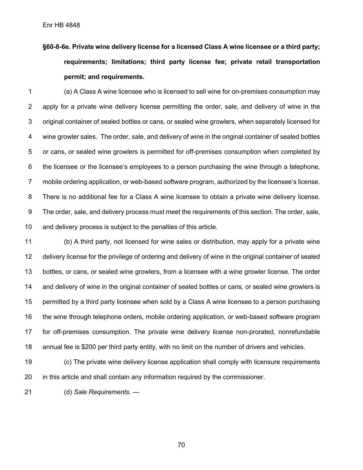**§60-8-6e. Private wine delivery license for a licensed Class A wine licensee or a third party; requirements; limitations; third party license fee; private retail transportation permit; and requirements.**

 (a) A Class A wine licensee who is licensed to sell wine for on-premises consumption may apply for a private wine delivery license permitting the order, sale, and delivery of wine in the original container of sealed bottles or cans, or sealed wine growlers, when separately licensed for wine growler sales. The order, sale, and delivery of wine in the original container of sealed bottles or cans, or sealed wine growlers is permitted for off-premises consumption when completed by the licensee or the licensee's employees to a person purchasing the wine through a telephone, mobile ordering application, or web-based software program, authorized by the licensee's license. There is no additional fee for a Class A wine licensee to obtain a private wine delivery license. The order, sale, and delivery process must meet the requirements of this section. The order, sale, and delivery process is subject to the penalties of this article.

 (b) A third party, not licensed for wine sales or distribution, may apply for a private wine delivery license for the privilege of ordering and delivery of wine in the original container of sealed bottles, or cans, or sealed wine growlers, from a licensee with a wine growler license. The order and delivery of wine in the original container of sealed bottles or cans, or sealed wine growlers is permitted by a third party licensee when sold by a Class A wine licensee to a person purchasing the wine through telephone orders, mobile ordering application, or web-based software program for off-premises consumption. The private wine delivery license non-prorated, nonrefundable annual fee is \$200 per third party entity, with no limit on the number of drivers and vehicles.

 (c) The private wine delivery license application shall comply with licensure requirements in this article and shall contain any information required by the commissioner.

(d) *Sale Requirements*. —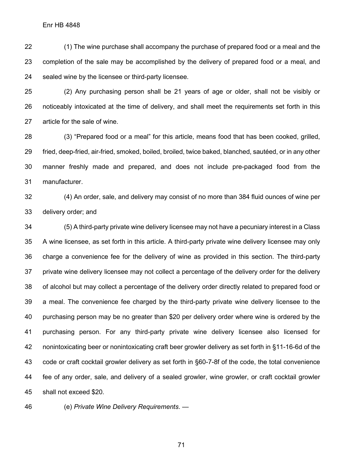(1) The wine purchase shall accompany the purchase of prepared food or a meal and the completion of the sale may be accomplished by the delivery of prepared food or a meal, and sealed wine by the licensee or third-party licensee.

 (2) Any purchasing person shall be 21 years of age or older, shall not be visibly or noticeably intoxicated at the time of delivery, and shall meet the requirements set forth in this article for the sale of wine.

 (3) "Prepared food or a meal" for this article, means food that has been cooked, grilled, fried, deep-fried, air-fried, smoked, boiled, broiled, twice baked, blanched, sautéed, or in any other manner freshly made and prepared, and does not include pre-packaged food from the manufacturer.

 (4) An order, sale, and delivery may consist of no more than 384 fluid ounces of wine per delivery order; and

 (5) A third-party private wine delivery licensee may not have a pecuniary interest in a Class A wine licensee, as set forth in this article. A third-party private wine delivery licensee may only charge a convenience fee for the delivery of wine as provided in this section. The third-party private wine delivery licensee may not collect a percentage of the delivery order for the delivery of alcohol but may collect a percentage of the delivery order directly related to prepared food or a meal. The convenience fee charged by the third-party private wine delivery licensee to the purchasing person may be no greater than \$20 per delivery order where wine is ordered by the purchasing person. For any third-party private wine delivery licensee also licensed for nonintoxicating beer or nonintoxicating craft beer growler delivery as set forth in §11-16-6d of the code or craft cocktail growler delivery as set forth in §60-7-8f of the code, the total convenience fee of any order, sale, and delivery of a sealed growler, wine growler, or craft cocktail growler shall not exceed \$20.

(e) *Private Wine Delivery Requirements*. —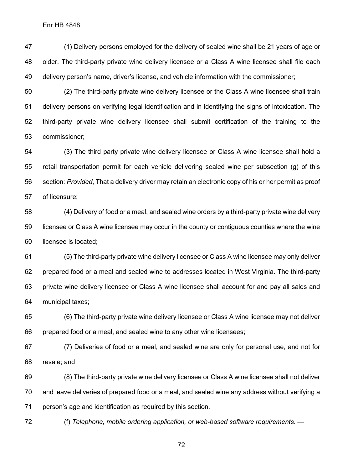(1) Delivery persons employed for the delivery of sealed wine shall be 21 years of age or older. The third-party private wine delivery licensee or a Class A wine licensee shall file each delivery person's name, driver's license, and vehicle information with the commissioner;

 (2) The third-party private wine delivery licensee or the Class A wine licensee shall train delivery persons on verifying legal identification and in identifying the signs of intoxication. The third-party private wine delivery licensee shall submit certification of the training to the commissioner;

 (3) The third party private wine delivery licensee or Class A wine licensee shall hold a retail transportation permit for each vehicle delivering sealed wine per subsection (g) of this section: *Provided*, That a delivery driver may retain an electronic copy of his or her permit as proof of licensure;

 (4) Delivery of food or a meal, and sealed wine orders by a third-party private wine delivery licensee or Class A wine licensee may occur in the county or contiguous counties where the wine licensee is located;

 (5) The third-party private wine delivery licensee or Class A wine licensee may only deliver prepared food or a meal and sealed wine to addresses located in West Virginia. The third-party private wine delivery licensee or Class A wine licensee shall account for and pay all sales and municipal taxes;

 (6) The third-party private wine delivery licensee or Class A wine licensee may not deliver prepared food or a meal, and sealed wine to any other wine licensees;

 (7) Deliveries of food or a meal, and sealed wine are only for personal use, and not for resale; and

 (8) The third-party private wine delivery licensee or Class A wine licensee shall not deliver and leave deliveries of prepared food or a meal, and sealed wine any address without verifying a person's age and identification as required by this section.

(f) *Telephone, mobile ordering application, or web-based software requirements*. —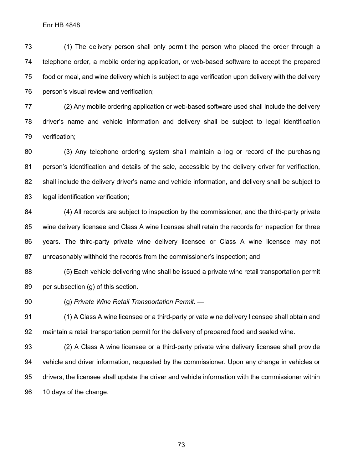(1) The delivery person shall only permit the person who placed the order through a telephone order, a mobile ordering application, or web-based software to accept the prepared food or meal, and wine delivery which is subject to age verification upon delivery with the delivery person's visual review and verification;

 (2) Any mobile ordering application or web-based software used shall include the delivery driver's name and vehicle information and delivery shall be subject to legal identification verification;

 (3) Any telephone ordering system shall maintain a log or record of the purchasing person's identification and details of the sale, accessible by the delivery driver for verification, shall include the delivery driver's name and vehicle information, and delivery shall be subject to 83 legal identification verification;

 (4) All records are subject to inspection by the commissioner, and the third-party private wine delivery licensee and Class A wine licensee shall retain the records for inspection for three years. The third-party private wine delivery licensee or Class A wine licensee may not unreasonably withhold the records from the commissioner's inspection; and

 (5) Each vehicle delivering wine shall be issued a private wine retail transportation permit per subsection (g) of this section.

(g) *Private Wine Retail Transportation Permit*. —

 (1) A Class A wine licensee or a third-party private wine delivery licensee shall obtain and maintain a retail transportation permit for the delivery of prepared food and sealed wine.

 (2) A Class A wine licensee or a third-party private wine delivery licensee shall provide vehicle and driver information, requested by the commissioner. Upon any change in vehicles or drivers, the licensee shall update the driver and vehicle information with the commissioner within 10 days of the change.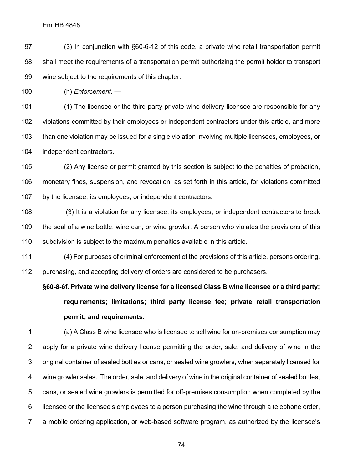(3) In conjunction with §60-6-12 of this code, a private wine retail transportation permit shall meet the requirements of a transportation permit authorizing the permit holder to transport wine subject to the requirements of this chapter.

(h) *Enforcement.* —

 (1) The licensee or the third-party private wine delivery licensee are responsible for any violations committed by their employees or independent contractors under this article, and more than one violation may be issued for a single violation involving multiple licensees, employees, or independent contractors.

 (2) Any license or permit granted by this section is subject to the penalties of probation, monetary fines, suspension, and revocation, as set forth in this article, for violations committed by the licensee, its employees, or independent contractors.

 (3) It is a violation for any licensee, its employees, or independent contractors to break the seal of a wine bottle, wine can, or wine growler. A person who violates the provisions of this subdivision is subject to the maximum penalties available in this article.

 (4) For purposes of criminal enforcement of the provisions of this article, persons ordering, purchasing, and accepting delivery of orders are considered to be purchasers.

**§60-8-6f. Private wine delivery license for a licensed Class B wine licensee or a third party; requirements; limitations; third party license fee; private retail transportation permit; and requirements.**

 (a) A Class B wine licensee who is licensed to sell wine for on-premises consumption may apply for a private wine delivery license permitting the order, sale, and delivery of wine in the original container of sealed bottles or cans, or sealed wine growlers, when separately licensed for wine growler sales. The order, sale, and delivery of wine in the original container of sealed bottles, cans, or sealed wine growlers is permitted for off-premises consumption when completed by the licensee or the licensee's employees to a person purchasing the wine through a telephone order, a mobile ordering application, or web-based software program, as authorized by the licensee's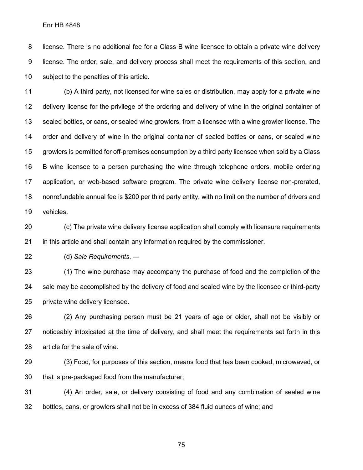license. There is no additional fee for a Class B wine licensee to obtain a private wine delivery license. The order, sale, and delivery process shall meet the requirements of this section, and subject to the penalties of this article.

 (b) A third party, not licensed for wine sales or distribution, may apply for a private wine delivery license for the privilege of the ordering and delivery of wine in the original container of sealed bottles, or cans, or sealed wine growlers, from a licensee with a wine growler license. The order and delivery of wine in the original container of sealed bottles or cans, or sealed wine growlers is permitted for off-premises consumption by a third party licensee when sold by a Class B wine licensee to a person purchasing the wine through telephone orders, mobile ordering application, or web-based software program. The private wine delivery license non-prorated, nonrefundable annual fee is \$200 per third party entity, with no limit on the number of drivers and vehicles.

 (c) The private wine delivery license application shall comply with licensure requirements in this article and shall contain any information required by the commissioner.

(d) *Sale Requirements*. —

 (1) The wine purchase may accompany the purchase of food and the completion of the sale may be accomplished by the delivery of food and sealed wine by the licensee or third-party private wine delivery licensee.

 (2) Any purchasing person must be 21 years of age or older, shall not be visibly or noticeably intoxicated at the time of delivery, and shall meet the requirements set forth in this article for the sale of wine.

 (3) Food, for purposes of this section, means food that has been cooked, microwaved, or that is pre-packaged food from the manufacturer;

 (4) An order, sale, or delivery consisting of food and any combination of sealed wine bottles, cans, or growlers shall not be in excess of 384 fluid ounces of wine; and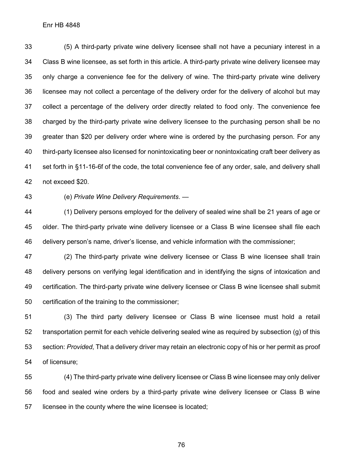(5) A third-party private wine delivery licensee shall not have a pecuniary interest in a Class B wine licensee, as set forth in this article. A third-party private wine delivery licensee may only charge a convenience fee for the delivery of wine. The third-party private wine delivery licensee may not collect a percentage of the delivery order for the delivery of alcohol but may collect a percentage of the delivery order directly related to food only. The convenience fee charged by the third-party private wine delivery licensee to the purchasing person shall be no greater than \$20 per delivery order where wine is ordered by the purchasing person. For any third-party licensee also licensed for nonintoxicating beer or nonintoxicating craft beer delivery as set forth in §11-16-6f of the code, the total convenience fee of any order, sale, and delivery shall not exceed \$20.

(e) *Private Wine Delivery Requirements*. —

 (1) Delivery persons employed for the delivery of sealed wine shall be 21 years of age or older. The third-party private wine delivery licensee or a Class B wine licensee shall file each delivery person's name, driver's license, and vehicle information with the commissioner;

 (2) The third-party private wine delivery licensee or Class B wine licensee shall train delivery persons on verifying legal identification and in identifying the signs of intoxication and certification. The third-party private wine delivery licensee or Class B wine licensee shall submit certification of the training to the commissioner;

 (3) The third party delivery licensee or Class B wine licensee must hold a retail transportation permit for each vehicle delivering sealed wine as required by subsection (g) of this section: *Provided*, That a delivery driver may retain an electronic copy of his or her permit as proof of licensure;

 (4) The third-party private wine delivery licensee or Class B wine licensee may only deliver food and sealed wine orders by a third-party private wine delivery licensee or Class B wine licensee in the county where the wine licensee is located;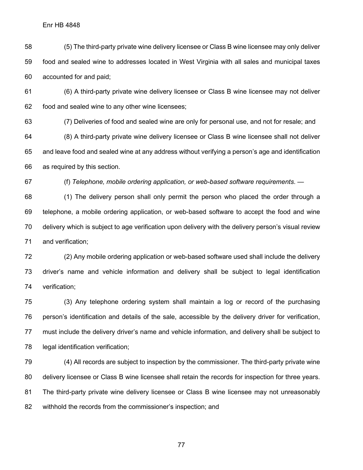(5) The third-party private wine delivery licensee or Class B wine licensee may only deliver food and sealed wine to addresses located in West Virginia with all sales and municipal taxes accounted for and paid;

 (6) A third-party private wine delivery licensee or Class B wine licensee may not deliver food and sealed wine to any other wine licensees;

 (7) Deliveries of food and sealed wine are only for personal use, and not for resale; and (8) A third-party private wine delivery licensee or Class B wine licensee shall not deliver and leave food and sealed wine at any address without verifying a person's age and identification as required by this section.

(f) *Telephone, mobile ordering application, or web-based software requirements*. —

 (1) The delivery person shall only permit the person who placed the order through a telephone, a mobile ordering application, or web-based software to accept the food and wine delivery which is subject to age verification upon delivery with the delivery person's visual review and verification;

 (2) Any mobile ordering application or web-based software used shall include the delivery driver's name and vehicle information and delivery shall be subject to legal identification verification;

 (3) Any telephone ordering system shall maintain a log or record of the purchasing person's identification and details of the sale, accessible by the delivery driver for verification, must include the delivery driver's name and vehicle information, and delivery shall be subject to legal identification verification;

 (4) All records are subject to inspection by the commissioner. The third-party private wine delivery licensee or Class B wine licensee shall retain the records for inspection for three years. The third-party private wine delivery licensee or Class B wine licensee may not unreasonably withhold the records from the commissioner's inspection; and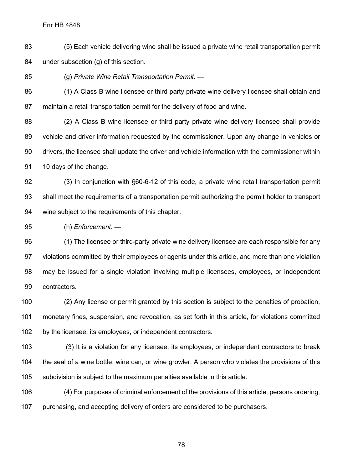(5) Each vehicle delivering wine shall be issued a private wine retail transportation permit under subsection (g) of this section.

(g) *Private Wine Retail Transportation Permit*. —

 (1) A Class B wine licensee or third party private wine delivery licensee shall obtain and maintain a retail transportation permit for the delivery of food and wine.

 (2) A Class B wine licensee or third party private wine delivery licensee shall provide vehicle and driver information requested by the commissioner. Upon any change in vehicles or drivers, the licensee shall update the driver and vehicle information with the commissioner within 91 10 days of the change.

 (3) In conjunction with §60-6-12 of this code, a private wine retail transportation permit shall meet the requirements of a transportation permit authorizing the permit holder to transport wine subject to the requirements of this chapter.

(h) *Enforcement*. —

 (1) The licensee or third-party private wine delivery licensee are each responsible for any violations committed by their employees or agents under this article, and more than one violation may be issued for a single violation involving multiple licensees, employees, or independent contractors.

 (2) Any license or permit granted by this section is subject to the penalties of probation, monetary fines, suspension, and revocation, as set forth in this article, for violations committed 102 by the licensee, its employees, or independent contractors.

 (3) It is a violation for any licensee, its employees, or independent contractors to break the seal of a wine bottle, wine can, or wine growler. A person who violates the provisions of this subdivision is subject to the maximum penalties available in this article.

 (4) For purposes of criminal enforcement of the provisions of this article, persons ordering, purchasing, and accepting delivery of orders are considered to be purchasers.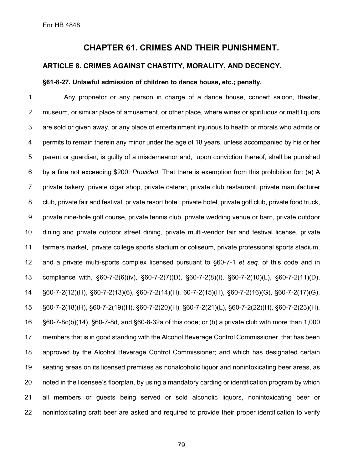## **CHAPTER 61. CRIMES AND THEIR PUNISHMENT.**

## **ARTICLE 8. CRIMES AGAINST CHASTITY, MORALITY, AND DECENCY.**

## **§61-8-27. Unlawful admission of children to dance house, etc.; penalty.**

 Any proprietor or any person in charge of a dance house, concert saloon, theater, museum, or similar place of amusement, or other place, where wines or spirituous or malt liquors are sold or given away, or any place of entertainment injurious to health or morals who admits or permits to remain therein any minor under the age of 18 years, unless accompanied by his or her parent or guardian, is guilty of a misdemeanor and, upon conviction thereof, shall be punished by a fine not exceeding \$200: *Provided*, That there is exemption from this prohibition for: (a) A private bakery, private cigar shop, private caterer, private club restaurant, private manufacturer club, private fair and festival, private resort hotel, private hotel, private golf club, private food truck, private nine-hole golf course, private tennis club, private wedding venue or barn, private outdoor dining and private outdoor street dining, private multi-vendor fair and festival license, private farmers market, private college sports stadium or coliseum, private professional sports stadium, and a private multi-sports complex licensed pursuant to §60-7-1 *et seq.* of this code and in compliance with, §60-7-2(6)(iv), §60-7-2(7)(D), §60-7-2(8)(I), §60-7-2(10)(L), §60-7-2(11)(D), §60-7-2(12)(H), §60-7-2(13)(6), §60-7-2(14)(H), 60-7-2(15)(H), §60-7-2(16)(G), §60-7-2(17)(G), §60-7-2(18)(H), §60-7-2(19)(H), §60-7-2(20)(H), §60-7-2(21)(L), §60-7-2(22)(H), §60-7-2(23)(H), §60-7-8c(b)(14), §60-7-8d, and §60-8-32a of this code; or (b) a private club with more than 1,000 members that is in good standing with the Alcohol Beverage Control Commissioner, that has been approved by the Alcohol Beverage Control Commissioner; and which has designated certain seating areas on its licensed premises as nonalcoholic liquor and nonintoxicating beer areas, as noted in the licensee's floorplan, by using a mandatory carding or identification program by which all members or guests being served or sold alcoholic liquors, nonintoxicating beer or nonintoxicating craft beer are asked and required to provide their proper identification to verify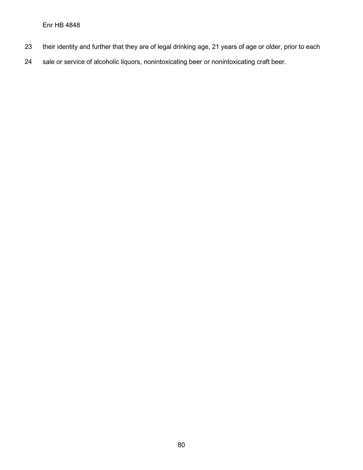- their identity and further that they are of legal drinking age, 21 years of age or older, prior to each
- sale or service of alcoholic liquors, nonintoxicating beer or nonintoxicating craft beer.